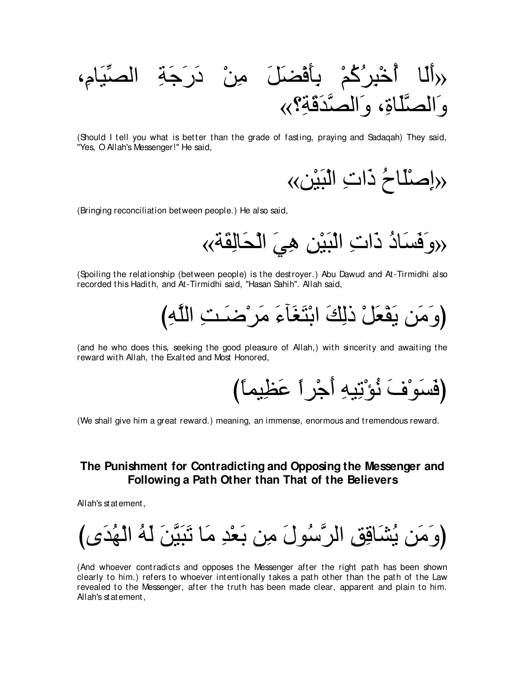∩⌒ュゅ∠Βあダャや ⌒る∠ィ∠ケ∠キ ∇リ⌒ョ ∠モ∠ツ∇プ∠ほ⌒よ ∇ユ⊥ミ⊥ゲ⌒ら∇カ⊥ぺ ゅ∠ャ∠ぺ» «∨⌒る∠ホ∠ギzダャや∠ヱ ∩⌒りゅ∠ヤzダャや∠ヱ

(Should I tell you what is better than the grade of fasting, praying and Sadaqah) They said, "Yes, O Allah's Messenger!'' He said,

«リ∇Β∠ら∇ャや ⌒れや∠ク ⊥ゥゅ∠ヤ∇タ⌒ま»

(Bringing reconciliation between people.) He also said,

«る∠ボ⌒ャゅ∠エ∇ャや ∠ヶ⌒ワ ⌒リ∇Β∠ら∇ャや ⌒れや∠ク ⊥キゅ∠ジ∠プ∠ヱ»

(Spoiling the relationship (between people) is the destroyer.) Abu Dawud and At-Tirmidhi also recorded this Hadith, and At-Tirmidhi said, "Hasan Sahih''. Allah said,

び⌒ヮzヤャや ⌒ろ⇒∠ッ∇ゲ∠ョ ∠¬べ∠ピ∠わ∇よや ∠マ⌒ャク ∇モ∠バ∇ヘ∠Α リ∠ョ∠ヱぴ

(and he who does this, seeking the good pleasure of Allah,) with sincerity and awaiting the reward with Allah, the Exalted and Most Honored,

び⇔ゅヨΒ⌒ヌ∠ハ ⇔やゲ∇ィ∠ぺ ⌒ヮΒ⌒ゎ∇ぽ⊥ル ∠フ∇ヲ∠ジ∠プぴ

(We shall give him a great reward.) meaning, an immense, enormous and tremendous reward.

# **The Punishment for Contradicting and Opposing the Messenger and Following a Path Other than That of the Believers**

Allah's statement,

びン∠ギ⊥ヰ∇ャや ⊥ヮ∠ャ ∠リzΒ∠ら∠ゎ ゅ∠ョ ⌒ギ∇バ∠よ リ⌒ョ ∠メヲ⊥シzゲャや ⌒ペ⌒ホゅ∠ゼ⊥Α リ∠ョ∠ヱぴ

(And whoever contradicts and opposes the Messenger after the right path has been shown clearly to him.) refers to whoever intentionally takes a path other than the path of the Law revealed to the Messenger, after the truth has been made clear, apparent and plain to him. Allah's statement,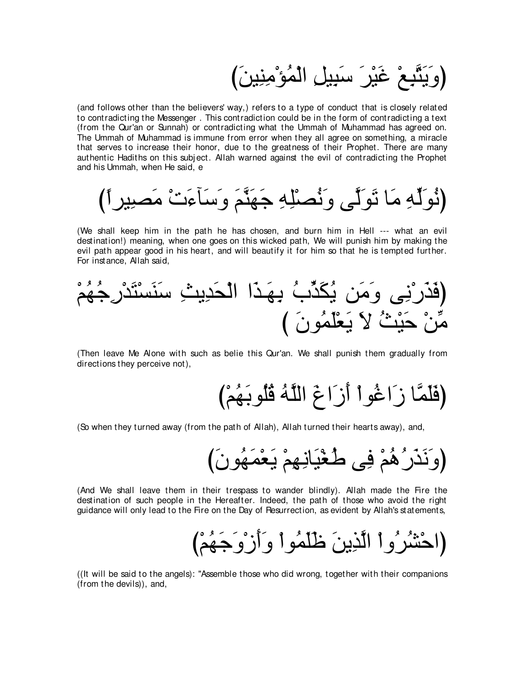(وَيَتَّبِعْ غَيْرَ سَبِيلِ الْمُؤْمِنِينَ)

(and follows other than the believers' way,) refers to a type of conduct that is closely related to contradicting the Messenger. This contradiction could be in the form of contradicting a text (from the Qur'an or Sunnah) or contradicting what the Ummah of Muhammad has agreed on. The Ummah of Muhammad is immune from error when they all agree on something, a miracle that serves to increase their honor, due to the greatness of their Prophet. There are many authentic Hadiths on this subject. Allah warned against the evil of contradicting the Prophet and his Ummah, when He said, e

(We shall keep him in the path he has chosen, and burn him in Hell --- what an evil destination!) meaning, when one goes on this wicked path, We will punish him by making the evil path appear good in his heart, and will beautify it for him so that he is tempted further. For instance, Allah said,

(فَدَرُنِي وَمَن يُكَدِّبُ يهَدَا الَحَدِينِٰ سَنَسٌتَدُرِ جُهُمُ
$$
\overrightarrow{\phantom{a}}
$$
وَمَنَ

(Then leave Me Alone with such as belie this Qur'an. We shall punish them gradually from directions they perceive not),

(So when they turned away (from the path of Allah), Allah turned their hearts away), and,

(And We shall leave them in their trespass to wander blindly). Allah made the Fire the destination of such people in the Hereafter. Indeed, the path of those who avoid the right guidance will only lead to the Fire on the Day of Resurrection, as evident by Allah's statements,

(It will be said to the angels): "Assemble those who did wrong, together with their companions (from the devils)), and,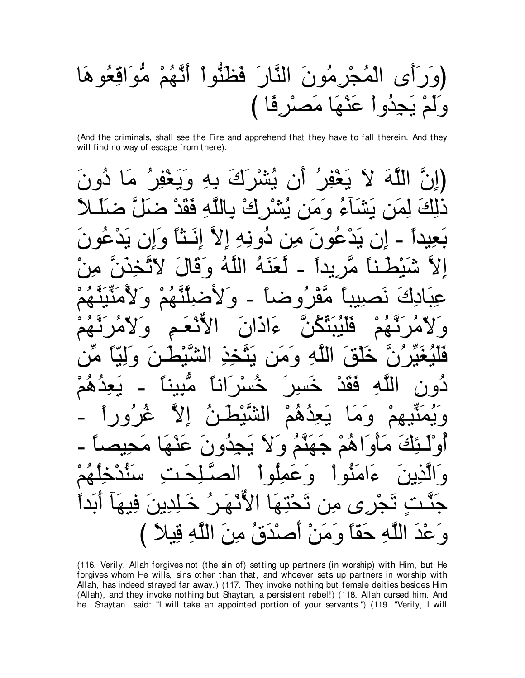مُونَ النَّارَ فَظُنُّواْ أَنَّهُمْ مُّوَاقِعُوهَا (و ر  $\sqrt{2}$ وَلَمْ يَجِذُواْ عَنْهَا مَصْرِفًا ﴾

(And the criminals, shall see the Fire and apprehend that they have to fall therein. And they will find no way of escape from there).

اللَّهَ لاَ يَغْفِرْ ۚ أَن يُشْرُكَ بِهِ وَيَغْفِرْ ُ  $\left( \begin{array}{c} u \\ v \end{array} \right)$ ُ، نَشْرُ كَ ْ بِاللَّهِ فَقَدْ دا  $\overline{a}$  $\mathbf c$ يدعون مِن دَونِه إلاّ إنَّتْ  $\bullet$ لْعَنَّهُ اللَّهُ وَقَالَ مر بدا  $\overline{a}$ و لا و ضد هُاْ عادان  $\Delta$ ه به <u>ففد</u>  $\mathbf{i}$ النثثة هد ه ه و د م و  $\overline{\mathbf{r}}$ ھم <u>४</u>  $\theta$ بو آ ىم  $\bullet$  $\sqrt[3]{\frac{2}{2}}$ تحتم ٽجر ي مِن الدن ا ه ر وَ عْدَ اللَّهِ حَقًّا وَ مَنْ أَصِدْقُ مِنَ اللَّهِ قِيلاً ﴾

(116. Verily, Allah forgives not (the sin of) setting up partners (in worship) with Him, but He forgives whom He wills, sins other than that, and whoever sets up partners in worship with Allah, has indeed strayed far away.) (117. They invoke nothing but female deities besides Him (Allah), and they invoke nothing but Shaytan, a persistent rebel!) (118. Allah cursed him. And he Shaytan said: "I will take an appointed portion of your servants.") (119. "Verily, I will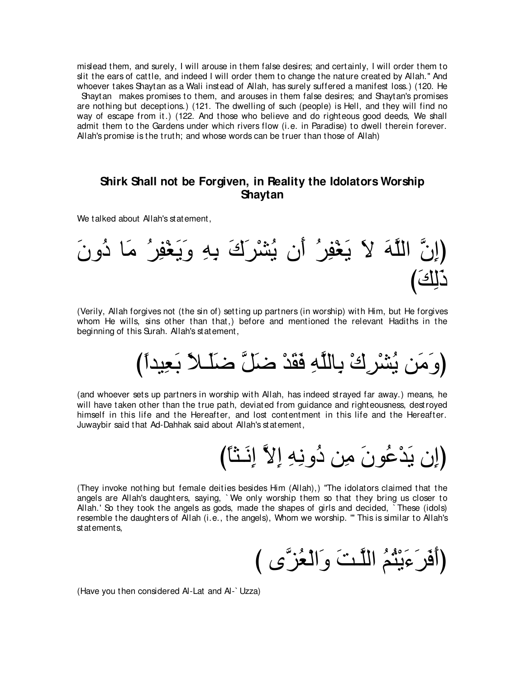mislead them, and surely, I will arouse in them false desires; and certainly, I will order them to slit the ears of cattle, and indeed I will order them to change the nature created by Allah.'' And whoever takes Shaytan as a Wali instead of Allah, has surely suffered a manifest loss.) (120. He Shaytan makes promises to them, and arouses in them false desires; and Shaytan's promises are nothing but deceptions.) (121. The dwelling of such (people) is Hell, and they will find no way of escape from it.) (122. And those who believe and do righteous good deeds, We shall admit them to the Gardens under which rivers flow (i.e. in Paradise) to dwell therein forever. Allah's promise is the truth; and whose words can be truer than those of Allah)

### **Shirk Shall not be Forgiven, in Reality the Idolators Worship Shaytan**

We talked about Allah's statement,

∠ラヱ⊥キ ゅ∠ョ ⊥ゲ⌒ヘ∇ピ∠Α∠ヱ ⌒ヮ⌒よ ∠ポ∠ゲ∇ゼ⊥Α ラ∠ぺ ⊥ゲ⌒ヘ∇ピ∠Α ∠Ι ∠ヮzヤャや zラ⌒まぴ び∠マ⌒ャ∠ク

(Verily, Allah forgives not (the sin of) setting up partners (in worship) with Him, but He forgives whom He wills, sins other than that,) before and mentioned the relevant Hadiths in the beginning of this Surah. Allah's statement,

び⇔やギΒ⌒バ∠よ ⇔Κ⇒∠ヤ∠ッ zモ∠ッ ∇ギ∠ボ∠プ ⌒ヮzヤャゅ⌒よ ∇ポ⌒ゲ∇ゼ⊥Α リ∠ョ∠ヱぴ

(and whoever sets up partners in worship with Allah, has indeed strayed far away.) means, he will have taken other than the true path, deviated from guidance and righteousness, destroyed himself in this life and the Hereafter, and lost contentment in this life and the Hereafter. Juwaybir said that Ad-Dahhak said about Allah's statement,

び⇔ゅん⇒∠ル⌒ま zΙ⌒ま ⌒ヮ⌒ルヱ⊥キ リ⌒ョ ∠ラヲ⊥ハ∇ギ∠Α ラ⌒まぴ

(They invoke nothing but female deities besides Him (Allah),) "The idolators claimed that the angels are Allah's daughters, saying, ` We only worship them so that they bring us closer to Allah.' So they took the angels as gods, made the shapes of girls and decided, ` These (idols) resemble the daughters of Allah (i.e., the angels), Whom we worship. ''' This is similar to Allah's statements,

び ンzゴ⊥バ∇ャや∠ヱ ∠ろ⇒zヤャや ⊥ユ⊥わ∇Α∠¬∠ゲ∠プ∠ぺぴ

(Have you then considered Al-Lat and Al-` Uzza)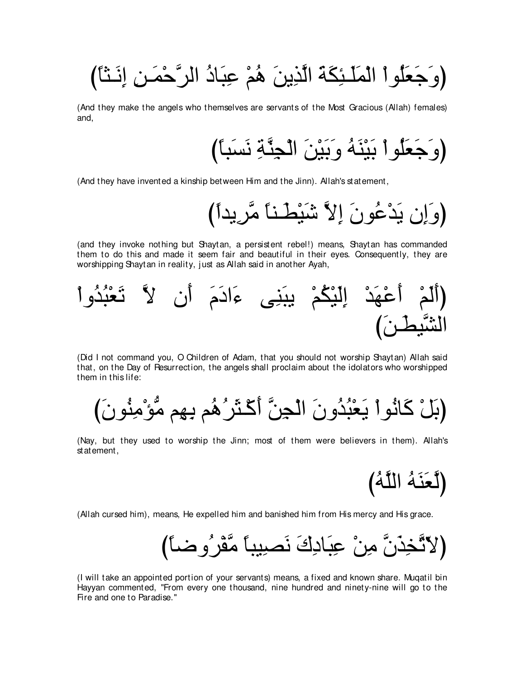(وَجَعَلُو ا الْمَلْـئِكَةَ الَّذِينَ هُمْ عِبَادُ الرَّحْمَـنِ إِنَّـثَـّا)

(And they make the angels who themselves are servants of the Most Gracious (Allah) females) and,

び⇔ゅら∠ジ∠ル ⌒るzレ⌒イ∇ャや ∠リ∇Β∠よ∠ヱ ⊥ヮ∠レ∇Β∠よ ∇やヲ⊥ヤ∠バ∠ィ∠ヱぴ

(And they have invented a kinship between Him and the Jinn). Allah's statement,

(وَإِن يَدْعُونَ إِلاَّ شَيْطُناً مَّرِيداً)

(and they invoke nothing but Shaytan, a persistent rebel!) means, Shaytan has commanded them to do this and made it seem fair and beautiful in their eyes. Consequently, they are worshipping Shaytan in reality, j ust as Allah said in another Ayah,



(Did I not command you, O Children of Adam, that you should not worship Shaytan) Allah said that, on the Day of Resurrection, the angels shall proclaim about the idolators who worshipped them in this life:

び∠ラヲ⊥レ⌒ョ∇ぽぁョ ユ⌒ヰ⌒よ ユ⊥ワ⊥ゲ∠ん⇒∇ミ∠ぺ zリ⌒イ∇ャや ∠ラヱ⊥ギ⊥ら∇バ∠Α ∇やヲ⊥ルゅ∠ミ ∇モ∠よぴ

(Nay, but they used to worship the Jinn; most of them were believers in them). Allah's statement,

(أَلَعَنَهُ اللّهُ)

(Allah cursed him), means, He expelled him and banished him from His mercy and His grace.

び⇔ゅッヱ⊥ゲ∇ヘzョ ⇔ゅらΒ⌒ダ∠ル ∠ポ⌒キゅ∠ら⌒ハ ∇リ⌒ョ zラ∠グ⌒ガzゎ∂Ιぴ

(I will take an appointed portion of your servants) means, a fixed and known share. Muqatil bin Hayyan commented, "From every one thousand, nine hundred and ninety-nine will go to the Fire and one to Paradise.''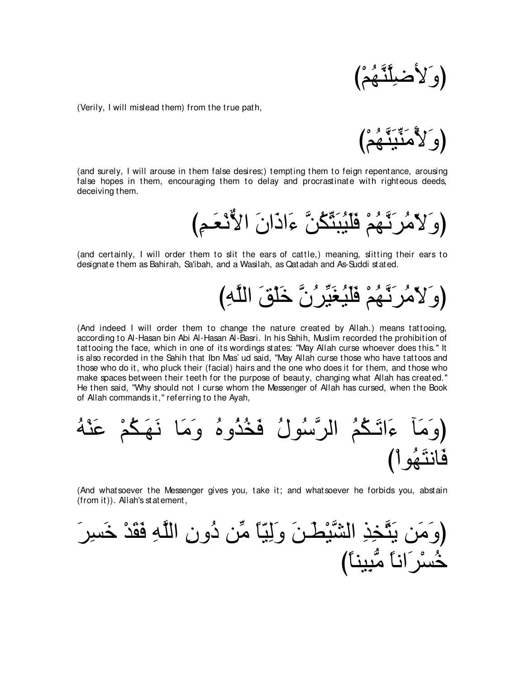(وَلَاضْلِلْنَّهُمْ)

(Verily, I will mislead them) from the true path,

(وَلاَمَنَّيْتَهُ ۚ ۚ

(and surely, I will arouse in them false desires;) tempting them to feign repentance, arousing false hopes in them, encouraging them to delay and procrastinate with righteous deeds, deceiving them.

(وَلاَمُرِنَّهُمْ فَلَيُبَنِّكُنَّ ءَاذَانَ الأَنْعَمِ)

(and certainly, I will order them to slit the ears of cattle,) meaning, slitting their ears to designate them as Bahirah, Sa'ibah, and a Wasilah, as Qatadah and As-Suddi stated.



(And indeed I will order them to change the nature created by Allah.) means tattooing. according to Al-Hasan bin Abi Al-Hasan Al-Basri. In his Sahih, Muslim recorded the prohibition of tattooing the face, which in one of its wordings states: "May Allah curse whoever does this." It is also recorded in the Sahih that Ibn Mas' ud said, "May Allah curse those who have tattoos and those who do it, who pluck their (facial) hairs and the one who does it for them, and those who make spaces between their teeth for the purpose of beauty, changing what Allah has created." He then said. "Why should not I curse whom the Messenger of Allah has cursed, when the Book of Allah commands it," referring to the Ayah,

لَم عَاتَـكُمُ الرَّسُولُ فَخُدُوهُ وَمَا نَهَكُمْ عَنْهُ فَانْتَـٰهُو أ

(And whatsoever the Messenger gives you, take it; and whatsoever he forbids you, abstain  $(from it)$ . Allah's statement,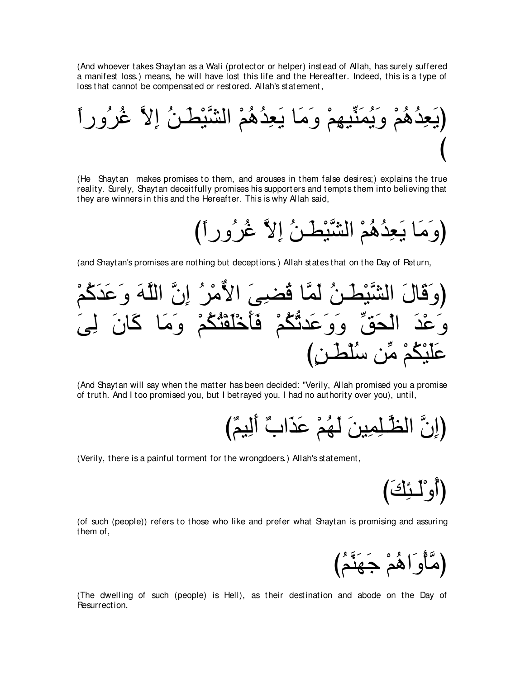(And whoever takes Shaytan as a Wali (protector or helper) instead of Allah, has surely suffered a manifest loss.) means, he will have lost this life and the Hereafter. Indeed, this is a type of loss that cannot be compensated or restored. Allah's statement,

(He Shaytan makes promises to them, and arouses in them false desires;) explains the true reality. Surely, Shaytan deceitfully promises his supporters and tempts them into believing that they are winners in this and the Hereafter. This is why Allah said,

(وَمَا يَعِدُهُمْ الشَّبْطَنُ إِلاَّ غُرُورِ أَ)

(and Shaytan's promises are nothing but deceptions.) Allah states that on the Day of Return,



(And Shaytan will say when the matter has been decided: "Verily, Allah promised you a promise of truth. And I too promised you, but I betrayed you. I had no authority over you), until,

(Verily, there is a painful torment for the wrongdoers.) Allah's statement.

و ْلَّبِنَكَ)

(of such (people)) refers to those who like and prefer what Shaytan is promising and assuring them of,

(The dwelling of such (people) is Hell), as their destination and abode on the Day of Resurrection,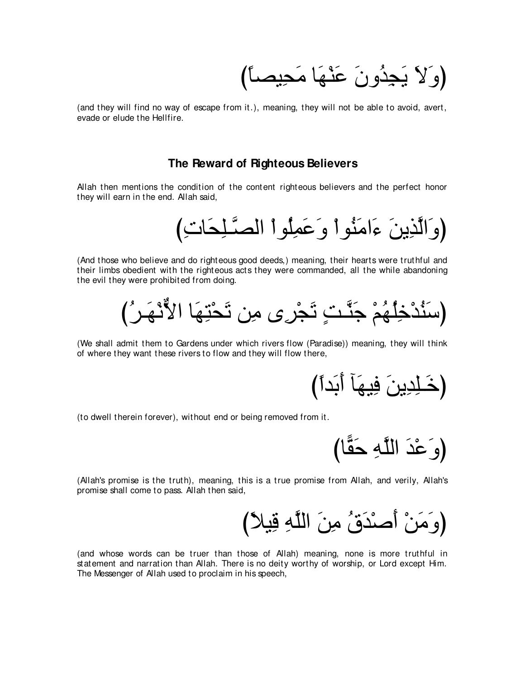(وَلاَ يَجِدُونَ عَذْهَا مَحِيصاً)

(and they will find no way of escape from it.), meaning, they will not be able to avoid, avert, evade or elude the Hellfire.

### **The Reward of Righteous Believers**

Allah then mentions the condition of the content righteous believers and the perfect honor they will earn in the end. Allah said,

び⌒れゅ∠エ⌒ヤ⇒zダャや ∇やヲ⊥ヤ⌒ヨ∠ハ∠ヱ ∇やヲ⊥レ∠ョや∠¬ ∠リΑ⌒グzャや∠ヱぴ

(And those who believe and do righteous good deeds,) meaning, their hearts were truthful and their limbs obedient with the righteous acts they were commanded, all the while abandoning the evil they were prohibited from doing.

び⊥ゲ⇒∠ヰ∇ルxΙや ゅ∠ヰ⌒わ∇エ∠ゎ リ⌒ョ ン⌒ゲ∇イ∠ゎ ∃ろ⇒zレ∠ィ ∇ユ⊥ヰ⊥ヤ⌒カ∇ギ⊥レ∠シぴ

(We shall admit them to Gardens under which rivers flow (Paradise)) meaning, they will think of where they want these rivers to flow and they will flow there,

び⇔やギ∠よ∠ぺ べ∠ヰΒ⌒プ ∠リΑ⌒ギ⌒ヤ⇒∠カぴ

(to dwell therein forever), without end or being removed from it.

びゅ6ボ∠ェ ⌒ヮzヤャや ∠ギ∇ハ∠ヱぴ

(Allah's promise is the truth), meaning, this is a true promise from Allah, and verily, Allah's promise shall come to pass. Allah then said,

び⇔ΚΒ⌒ホ ⌒ヮzヤャや ∠リ⌒ョ ⊥ベ∠ギ∇タ∠ぺ ∇リ∠ョ∠ヱぴ

(and whose words can be truer than those of Allah) meaning, none is more truthful in statement and narration than Allah. There is no deity worthy of worship, or Lord except Him. The Messenger of Allah used to proclaim in his speech,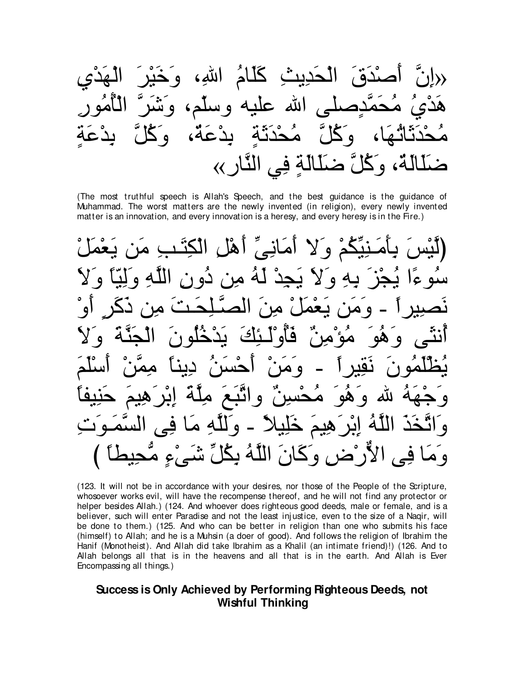(The most truthful speech is Allah's Speech, and the best quidance is the quidance of Muhammad. The worst matters are the newly invented (in religion), every newly invented matter is an innovation, and every innovation is a heresy, and every heresy is in the Fire.)

امَانِيِّ أَهْلِ الْكَذَ ه لا من ده د  $\Delta$ ها $\Delta$ الله  $\bullet$ ھە  $\bullet$ اللَّهُ بِكُلِّ شَيْ

(123. It will not be in accordance with your desires, nor those of the People of the Scripture, whosoever works evil, will have the recompense thereof, and he will not find any protector or helper besides Allah.) (124. And whoever does righteous good deeds, male or female, and is a believer, such will enter Paradise and not the least injustice, even to the size of a Naqir, will be done to them.) (125. And who can be better in religion than one who submits his face (himself) to Allah; and he is a Muhsin (a doer of good). And follows the religion of Ibrahim the Hanif (Monotheist). And Allah did take Ibrahim as a Khalil (an intimate friend)!) (126. And to Allah belongs all that is in the heavens and all that is in the earth. And Allah is Ever Encompassing all things.)

# Success is Only Achieved by Performing Righteous Deeds, not **Wishful Thinking**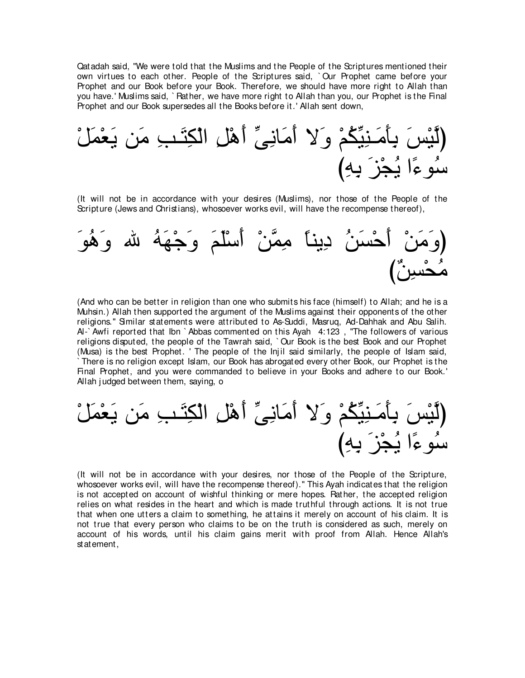Qatadah said, "We were told that the Muslims and the People of the Scriptures mentioned their own virtues to each other. People of the Scriptures said, ` Our Prophet came before your Prophet and our Book before your Book. Therefore, we should have more right to Allah than you have.' Muslims said, ` Rather, we have more right to Allah than you, our Prophet is the Final Prophet and our Book supersedes all the Books before it.' Allah sent down,

∇モ∠ヨ∇バ∠Α リ∠ョ ⌒ょ⇒∠わ⌒ム∇ャや ⌒モ∇ワ∠ぺ あヴ⌒ルゅ∠ョ∠ぺ Ι∠ヱ ∇ユ⊥ムあΒ⌒レ⇒∠ョ∠ほ⌒よ ∠ザ∇Βzャぴ び⌒ヮ⌒よ ∠ゴ∇イ⊥Α や⇔¬ヲ⊥シ

(It will not be in accordance with your desires (Muslims), nor those of the People of the Scripture (Jews and Christians), whosoever works evil, will have the recompense thereof),



(And who can be better in religion than one who submits his face (himself) to Allah; and he is a Muhsin.) Allah then supported the argument of the Muslims against their opponents of the other religions." Similar statements were attributed to As-Suddi, Masruq, Ad-Dahhak and Abu Salih. Al-` Awfi reported that Ibn ` Abbas commented on this Ayah 4:123 , "The followers of various religions disputed, the people of the Tawrah said, ` Our Book is the best Book and our Prophet (Musa) is the best Prophet. ' The people of the Injil said similarly, the people of Islam said, ` There is no religion except Islam, our Book has abrogated every other Book, our Prophet is the Final Prophet, and you were commanded to believe in your Books and adhere to our Book.' Allah j udged between them, saying, o

∇モ∠ヨ∇バ∠Α リ∠ョ ⌒ょ⇒∠わ⌒ム∇ャや ⌒モ∇ワ∠ぺ あヴ⌒ルゅ∠ョ∠ぺ Ι∠ヱ ∇ユ⊥ムあΒ⌒レ⇒∠ョ∠ほ⌒よ ∠ザ∇Βzャぴ び⌒ヮ⌒よ ∠ゴ∇イ⊥Α や⇔¬ヲ⊥シ

(It will not be in accordance with your desires, nor those of the People of the Scripture, whosoever works evil, will have the recompense thereof)." This Ayah indicates that the religion is not accepted on account of wishful thinking or mere hopes. Rather, the accepted religion relies on what resides in the heart and which is made truthful through actions. It is not true that when one utters a claim to something, he attains it merely on account of his claim. It is not true that every person who claims to be on the truth is considered as such, merely on account of his words, until his claim gains merit with proof from Allah. Hence Allah's statement,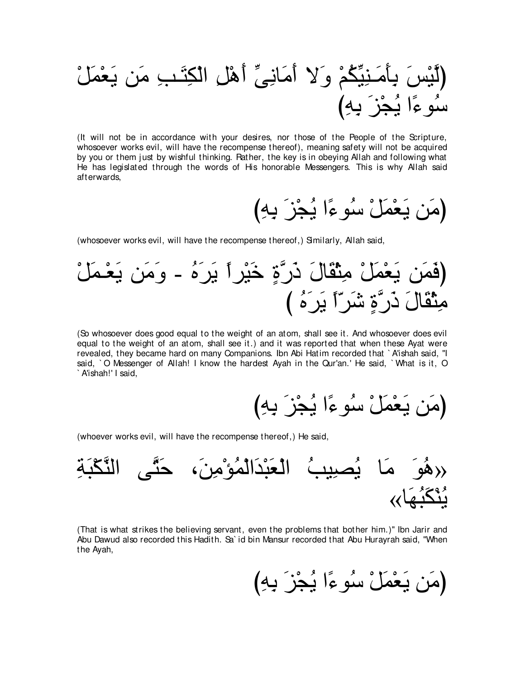(It will not be in accordance with your desires, nor those of the People of the Scripture, whosoever works evil, will have the recompense thereof), meaning safety will not be acquired by you or them just by wishful thinking. Pather, the key is in obeying Allah and following what He has legislated through the words of His honorable Messengers. This is why Allah said afterwards.

(whosoever works evil, will have the recompense thereof,) Smilarly, Allah said,

(So whosoever does good equal to the weight of an atom, shall see it. And whosoever does evil equal to the weight of an atom, shall see it.) and it was reported that when these Ayat were revealed, they became hard on many Companions. Ibn Abi Hatim recorded that `A'ishah said, "I said, `O Messenger of Allah! I know the hardest Ayah in the Qur'an.' He said, `What is it, O `A'ishah!' I said.

(whoever works evil, will have the recompense thereof,) He said,

(That is what strikes the believing servant, even the problems that bother him.)" Ibn Jarir and Abu Dawud also recorded this Hadith. Sa`id bin Mansur recorded that Abu Hurayrah said, "When the Ayah,

(مَن يَعْمَلْ سُوءًا يُجْزَ بِهِ)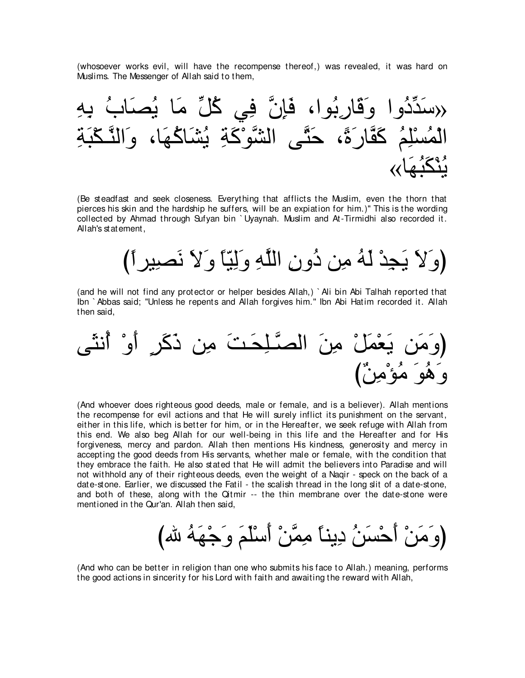(whosoever works evil, will have the recompense thereof,) was revealed, it was hard on Muslims. The Messenger of Allah said to them,

⌒ヮ⌒よ ⊥ゆゅ∠ダ⊥Α ゅ∠ョ あモ⊥ミ ヶ⌒プ zラ⌒み∠プ ∩やヲ⊥よ⌒ケゅ∠ホ∠ヱ やヱ⊥キあギ∠シ» ⌒る∠ら∇ム⇒zレャや∠ヱ ∩ゅ∠ヰ⊥ミゅ∠ゼ⊥Α ⌒る∠ミ∇ヲzゼャや ヴzわ∠ェ ∩⇔り∠ケゅzヘ∠ミ ⊥ユ⌒ヤ∇ジ⊥ヨ∇ャや «ゅ∠ヰ⊥ら∠ム∇レ⊥Α

(Be steadfast and seek closeness. Everything that afflicts the Muslim, even the thorn that pierces his skin and the hardship he suffers, will be an expiation for him.)'' This is the wording collected by Ahmad through Sufyan bin ` Uyaynah. Muslim and At-Tirmidhi also recorded it. Allah's statement,

(وَلاَ يَجِدْ لَهُ مِن دُونِ اللَّهِ وَلِيَّا وَلاَ نَصبِيرِ أَ)

(and he will not find any protector or helper besides Allah,) ` Ali bin Abi Talhah reported that Ibn ` Abbas said; "Unless he repents and Allah forgives him.'' Ibn Abi Hatim recorded it. Allah then said,

ヴ∠んル⊥ぺ ∇ヱ∠ぺ ∃ゲ∠ミ∠ク リ⌒ョ ∠ろ⇒∠エ⌒ヤ⇒zダャや ∠リ⌒ョ ∇モ∠ヨ∇バ∠Α リ∠ョ∠ヱぴ び∀リ⌒ョ∇ぽ⊥ョ ∠ヲ⊥ワ∠ヱ

(And whoever does righteous good deeds, male or female, and is a believer). Allah mentions the recompense for evil actions and that He will surely inflict its punishment on the servant, either in this life, which is better for him, or in the Hereafter, we seek refuge with Allah from this end. We also beg Allah for our well-being in this life and the Hereafter and for His forgiveness, mercy and pardon. Allah then mentions His kindness, generosity and mercy in accepting the good deeds from His servants, whether male or female, with the condition that they embrace the faith. He also stated that He will admit the believers into Paradise and will not withhold any of their righteous deeds, even the weight of a Naqir - speck on the back of a date-stone. Earlier, we discussed the Fatil - the scalish thread in the long slit of a date-stone, and both of these, along with the Qitmir -- the thin membrane over the date-stone were mentioned in the Qur'an. Allah then said,

ぶび ⊥ヮ∠ヰ∇ィ∠ヱ ∠ユ∠ヤ∇シ∠ぺ ∇リzヨ⌒ョ ⇔ゅレΑ⌒キ ⊥リ∠ジ∇ェ∠ぺ ∇リ∠ョ∠ヱぴ

(And who can be better in religion than one who submits his face to Allah.) meaning, performs the good actions in sincerity for his Lord with faith and awaiting the reward with Allah,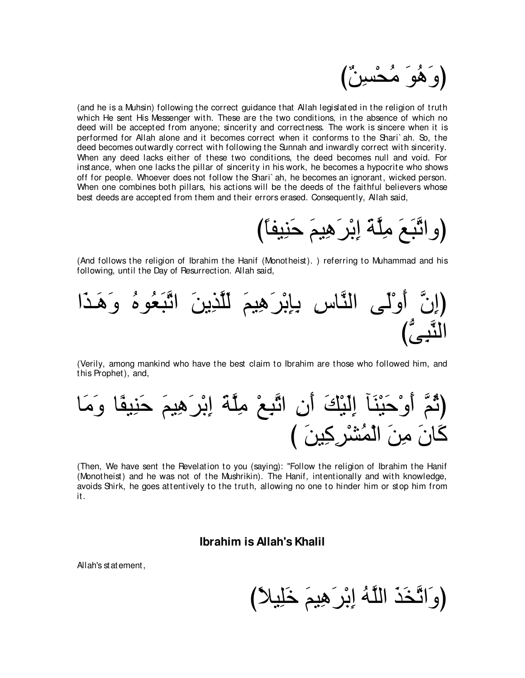び∀リ⌒ジ∇エ⊥ョ ∠ヲ⊥ワ∠ヱぴ

(and he is a Muhsin) following the correct guidance that Allah legislated in the religion of truth which He sent His Messenger with. These are the two conditions, in the absence of which no deed will be accepted from anyone; sincerity and correctness. The work is sincere when it is performed for Allah alone and it becomes correct when it conforms to the Shari` ah. So, the deed becomes outwardly correct with following the Sunnah and inwardly correct with sincerity. When any deed lacks either of these two conditions, the deed becomes null and void. For instance, when one lacks the pillar of sincerity in his work, he becomes a hypocrite who shows off for people. Whoever does not follow the Shari` ah, he becomes an ignorant, wicked person. When one combines both pillars, his actions will be the deeds of the faithful believers whose best deeds are accepted from them and their errors erased. Consequently, Allah said,

び⇔ゅヘΒ⌒レ∠ェ ∠ユΒ⌒ワ∠ゲ∇よ⌒ま ∠るzヤ⌒ョ ∠ノ∠らzゎやヱぴ

(And follows the religion of Ibrahim the Hanif (Monotheist). ) referring to Muhammad and his following, until the Day of Resurrection. Allah said,



(Verily, among mankind who have the best claim to Ibrahim are those who followed him, and this Prophet), and,

ゅ∠ョ∠ヱ ゅ⇔ヘΒ⌒レ∠ェ ∠ユΒ⌒ワ∠ゲ∇よ⌒ま ∠るzヤ⌒ョ ∇ノ⌒らzゎや ⌒ラ∠ぺ ∠マ∇Β∠ャ⌒ま べ∠レ∇Β∠ェ∇ヱ∠ぺ zユ⊥をぴ び ∠リΒ⌒ミ⌒ゲ∇ゼ⊥ヨ∇ャや ∠リ⌒ョ ∠ラゅ∠ミ

(Then, We have sent the Revelation to you (saying): "Follow the religion of Ibrahim the Hanif (Monotheist) and he was not of the Mushrikin). The Hanif, intentionally and with knowledge, avoids Shirk, he goes attentively to the truth, allowing no one to hinder him or stop him from it.

#### **Ibrahim is Allah's Khalil**

Allah's statement,

び⇔ΚΒ⌒ヤ∠カ ∠ユΒ⌒ワ∠ゲ∇よ⌒ま ⊥ヮzヤャや ∠グ∠ガzゎや∠ヱぴ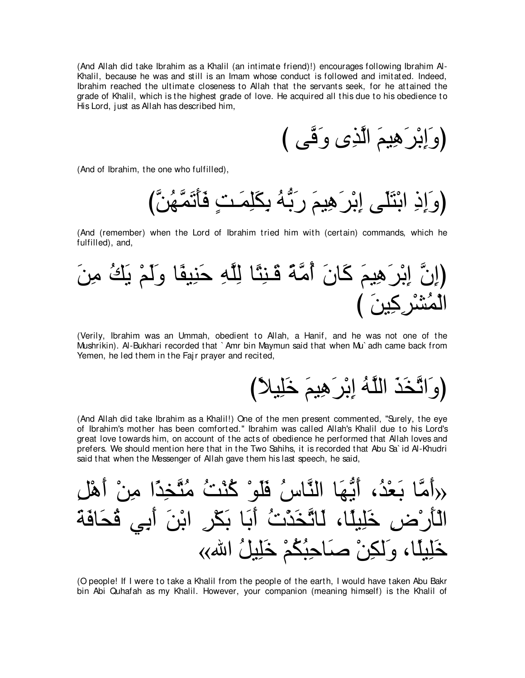(And Allah did take Ibrahim as a Khalil (an intimate friend)!) encourages following Ibrahim Al-Khalil, because he was and still is an Imam whose conduct is followed and imitated. Indeed, Ibrahim reached the ultimate closeness to Allah that the servants seek, for he attained the grade of Khalil, which is the highest grade of love. He acquired all this due to his obedience to His Lord, j ust as Allah has described him,

(وَإِبْرَهِيمَ الَّذِي وَقَى )

(And of Ibrahim, the one who fulfilled),

びzリ⊥ヰzヨ∠ゎ∠ほ∠プ ∃ろ⇒∠ヨ⌒ヤ∠ム⌒よ ⊥ヮぁよ∠ケ ∠ユΒ⌒ワ∠ゲ∇よ⌒ま ヴ∠ヤ∠わ∇よや ⌒ク⌒ま∠ヱぴ

(And (remember) when the Lord of Ibrahim tried him with (certain) commands, which he fulfilled), and,

∠リ⌒ョ ⊥マ∠Α ∇ユ∠ャ∠ヱ ゅ⇔ヘΒ⌒レ∠ェ ⌒ヮzヤ⌒ャ ゅ⇔わ⌒レ⇒∠ホ ⇔るzョ⊥ぺ ∠ラゅ∠ミ ∠ユΒ⌒ワ∠ゲ∇よ⌒ま zラ⌒まぴ び ∠リΒ⌒ミ⌒ゲ∇ゼ⊥ヨ∇ャや

(Verily, Ibrahim was an Ummah, obedient to Allah, a Hanif, and he was not one of the Mushrikin). Al-Bukhari recorded that ` Amr bin Maymun said that when Mu` adh came back from Yemen, he led them in the Fajr prayer and recited,

び⇔ΚΒ⌒ヤ∠カ ∠ユΒ⌒ワ∠ゲ∇よ⌒ま ⊥ヮzヤャや ∠グ∠ガzゎや∠ヱぴ

(And Allah did take Ibrahim as a Khalil!) One of the men present commented, "Surely, the eye of Ibrahim's mother has been comforted.'' Ibrahim was called Allah's Khalil due to his Lord's great love towards him, on account of the acts of obedience he performed that Allah loves and prefers. We should mention here that in the Two Sahihs, it is recorded that Abu Sa` id Al-Khudri said that when the Messenger of Allah gave them his last speech, he said,

⌒モ∇ワ∠ぺ ∇リ⌒ョ や⇔グ⌒ガzわ⊥ョ ⊥ろ∇レ⊥ミ ∇ヲ∠ヤ∠プ ⊥サゅzレャや ゅ∠ヰぁΑ∠ぺ ∩⊥ギ∇バ∠よ ゅzョ∠ぺ» ∠る∠プゅ∠エ⊥ホ ヶ⌒よ∠ぺ ∠リ∇よや ⌒ゲ∇ム∠よ ゅ∠よ∠ぺ ⊥れ∇グ∠ガzゎゅ∠ャ ∩ゅ⇔ヤΒ⌒ヤ∠カ ⌒チ∇ケ∠ほ∇ャや «ぶや ⊥モΒ⌒ヤ∠カ ∇ユ⊥ム⊥ら⌒ェゅ∠タ ∇リ⌒ムャ∠ヱ ∩ゅ⇔ヤΒ⌒ヤ∠カ

(O people! If I were to take a Khalil from the people of the earth, I would have taken Abu Bakr bin Abi Quhafah as my Khalil. However, your companion (meaning himself) is the Khalil of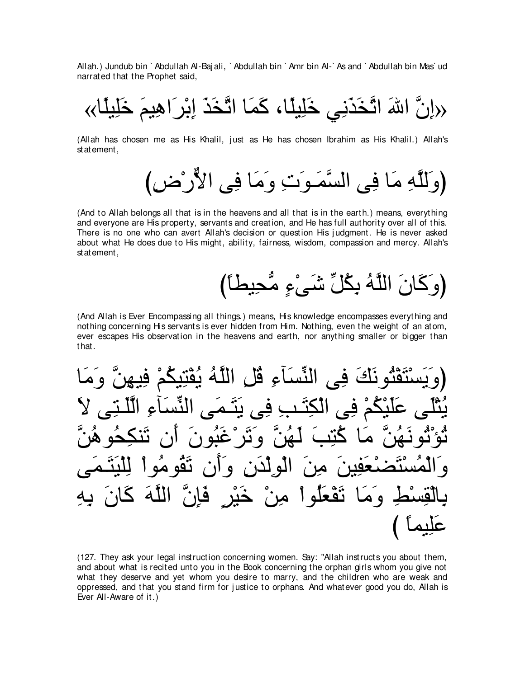Allah.) Jundub bin ` Abdullah Al-Bajali, ` Abdullah bin ` Amr bin Al-` As and ` Abdullah bin Mas` ud narrated that the Prophet said,

«ゅ⇔ヤΒ⌒ヤ∠カ ∠ユΒ⌒ワや∠ゲ∇よ⌒ま ∠グ∠ガzゎや ゅ∠ヨ∠ミ ∩ゅ⇔ヤΒ⌒ヤ∠カ ヶ⌒ル∠グ∠ガzゎや ∠ぶや zラ⌒ま»

(Allah has chosen me as His Khalil, j ust as He has chosen Ibrahim as His Khalil.) Allah's statement,

び⌒チ∇ケxΙや ヴ⌒プ ゅ∠ョ∠ヱ ⌒れ∠ヲ⇒∠ヨzジャや ヴ⌒プ ゅ∠ョ ⌒ヮzヤャ∠ヱぴ

(And to Allah belongs all that is in the heavens and all that is in the earth.) means, everything and everyone are His property, servants and creation, and He has full authority over all of this. There is no one who can avert Allah's decision or question His judgment. He is never asked about what He does due to His might, ability, fairness, wisdom, compassion and mercy. Allah's statement,

# (وَكَانَ اللَّهُ بِكُلِّ شَيْءٍ مُّحِيطًا)

(And Allah is Ever Encompassing all things.) means, His knowledge encompasses everything and nothing concerning His servants is ever hidden from Him. Nothing, even the weight of an atom, ever escapes His observation in the heavens and earth, nor anything smaller or bigger than that.

حَقَّةُو نَكَ فِي النِّسَاءِ قُلِ اللَّهُ يُقْتِيكُمْ فِيهِنَّ و<sup>َ</sup>مَا بُنَّلَى عَلَيْكُمْ فِى الْكِتَـٰبِ فِى يَتَـٰمَى النِّسَاءِ اللَّـنِى لاَ تُوْتُونَـهُنَّ مَا كُتِبَ لَـهُنَّ وَتَرْغَبُونَ أن تَنكِحُوهُنَّ وَالْمُسْتَضْعَفِينَ مِنَ الْوِلْدَنِ وَأَنِ تَقُومُواْ لِلْيَتَّمَى بِالْقِسْطِ وَمَا تَقْعَلُواْ مِنْ خَيْرِ فَإِنَّ اللَّهَ كَانَ بِهِ عَلِيماً )

(127. They ask your legal instruction concerning women. Say: "Allah instructs you about them, and about what is recited unto you in the Book concerning the orphan girls whom you give not what they deserve and yet whom you desire to marry, and the children who are weak and oppressed, and that you stand firm for justice to orphans. And whatever good you do, Allah is Ever All-Aware of it.)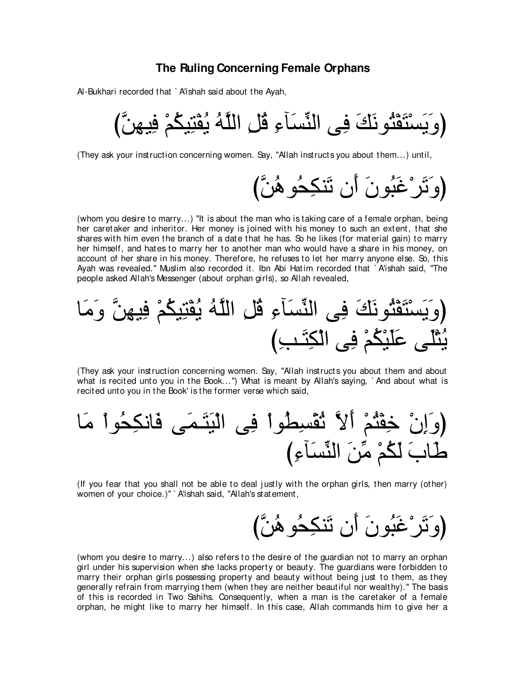#### **The Ruling Concerning Female Orphans**

Al-Bukhari recorded that ` A'ishah said about the Ayah,

びzリ⌒ヰΒ⌒プ ∇ユ⊥ムΒ⌒わ∇ヘ⊥Α ⊥ヮzヤャや ⌒モ⊥ホ ⌒¬べ∠ジあレャや ヴ⌒プ ∠マ∠ルヲ⊥わ∇ヘ∠わ∇ジ∠Α∠ヱぴ

(They ask your instruction concerning women. Say, "Allah instructs you about them...) until,

びzリ⊥ワヲ⊥エ⌒ムレ∠ゎ ラ∠ぺ ∠ラヲ⊥ら∠ビ∇ゲ∠ゎ∠ヱぴ

(whom you desire to marry...) "It is about the man who is taking care of a female orphan, being her caretaker and inheritor. Her money is joined with his money to such an extent, that she shares with him even the branch of a date that he has. So he likes (for material gain) to marry her himself, and hates to marry her to another man who would have a share in his money, on account of her share in his money. Therefore, he refuses to let her marry anyone else. So, this Ayah was revealed.'' Muslim also recorded it. Ibn Abi Hatim recorded that ` A'ishah said, "The people asked Allah's Messenger (about orphan girls), so Allah revealed,

ゅ∠ョ∠ヱ zリ⌒ヰΒ⌒プ ∇ユ⊥ムΒ⌒わ∇ヘ⊥Α ⊥ヮzヤャや ⌒モ⊥ホ ⌒¬べ∠ジあレャや ヴ⌒プ ∠マ∠ルヲ⊥わ∇ヘ∠わ∇ジ∠Α∠ヱぴ び⌒ょ⇒∠わ⌒ム∇ャや ヴ⌒プ ∇ユ⊥ム∇Β∠ヤ∠ハ ヴ∠ヤ∇わ⊥Α

(They ask your instruction concerning women. Say, "Allah instructs you about them and about what is recited unto you in the Book...") What is meant by Allah's saying, ` And about what is recited unto you in the Book' is the former verse which said,

ゅ∠ョ ∇やヲ⊥エ⌒ムルゅ∠プ ヴ∠ヨ⇒∠わ∠Β∇ャや ヴ⌒プ ∇やヲ⊥ト⌒ジ∇ボ⊥ゎ zΙ∠ぺ ∇ユ⊥わ∇ヘ⌒カ ∇ラ⌒ま∠ヱぴ び⌒¬べ∠ジあレャや ∠リあョ ∇ユ⊥ム∠ャ ∠ゆゅ∠デ

(If you fear that you shall not be able to deal j ustly with the orphan girls, then marry (other) women of your choice.)'' ` A'ishah said, "Allah's statement,

びzリ⊥ワヲ⊥エ⌒ムレ∠ゎ ラ∠ぺ ∠ラヲ⊥ら∠ビ∇ゲ∠ゎ∠ヱぴ

(whom you desire to marry...) also refers to the desire of the guardian not to marry an orphan girl under his supervision when she lacks property or beauty. The guardians were forbidden to marry their orphan girls possessing property and beauty without being just to them, as they generally refrain from marrying them (when they are neither beautiful nor wealthy).'' The basis of this is recorded in Two Sahihs. Consequently, when a man is the caretaker of a female orphan, he might like to marry her himself. In this case, Allah commands him to give her a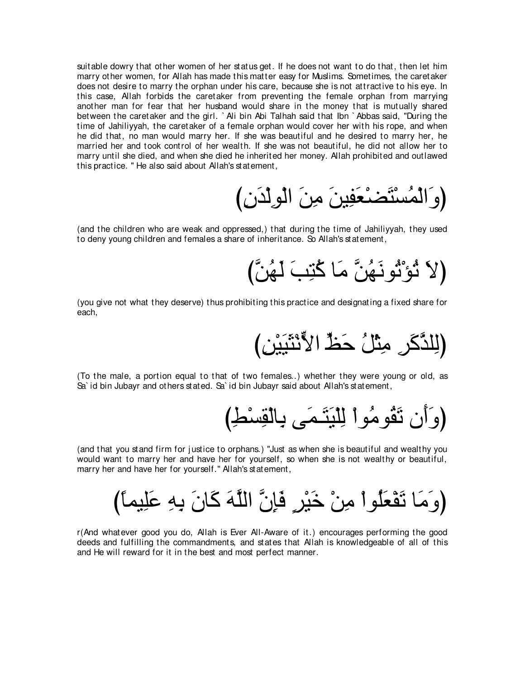suitable dowry that other women of her status get. If he does not want to do that, then let him marry other women, for Allah has made this matter easy for Muslims. Sometimes, the caretaker does not desire to marry the orphan under his care, because she is not attractive to his eve. In this case, Allah forbids the caretaker from preventing the female orphan from marrying another man for fear that her husband would share in the money that is mutually shared between the caretaker and the girl. ` Ali bin Abi Talhah said that Ibn ` Abbas said, "During the time of Jahiliyyah, the caretaker of a female orphan would cover her with his rope, and when he did that, no man would marry her. If she was beautiful and he desired to marry her, he married her and took control of her wealth. If she was not beautiful, he did not allow her to marry until she died, and when she died he inherited her money. Allah prohibited and outlawed this practice. '' He also said about Allah's statement,

び⌒ラ∠ギ∇ャ⌒ヲ∇ャや ∠リ⌒ョ ∠リΒ⌒ヘ∠バ∇ツ∠わ∇ジ⊥ヨ∇ャや∠ヱぴ

(and the children who are weak and oppressed,) that during the time of Jahiliyyah, they used to deny young children and females a share of inheritance. So Allah's statement,

(لا ثُوْثُونَهُنَّ مَا كُتِبَ لَهُنَّ)

(you give not what they deserve) thus prohibiting this practice and designating a fixed share for each,

(لِلذَّكَ*رِ* مِثْلُ حَظِّ الأَنْثَيَيْنِ)

(To the male, a portion equal to that of two females..) whether they were young or old, as Sa` id bin Jubayr and others stated. Sa` id bin Jubayr said about Allah's statement,

び⌒テ∇ジ⌒ボ∇ャゅ⌒よ ヴ∠ヨ⇒∠わ∠Β∇ヤ⌒ャ ∇やヲ⊥ョヲ⊥ボ∠ゎ ラ∠ぺ∠ヱぴ

(and that you stand firm for justice to orphans.) "Just as when she is beautiful and wealthy you would want to marry her and have her for yourself, so when she is not wealthy or beautiful, marry her and have her for yourself." Allah's statement,



r(And whatever good you do, Allah is Ever All-Aware of it.) encourages performing the good deeds and fulfilling the commandments, and states that Allah is knowledgeable of all of this and He will reward for it in the best and most perfect manner.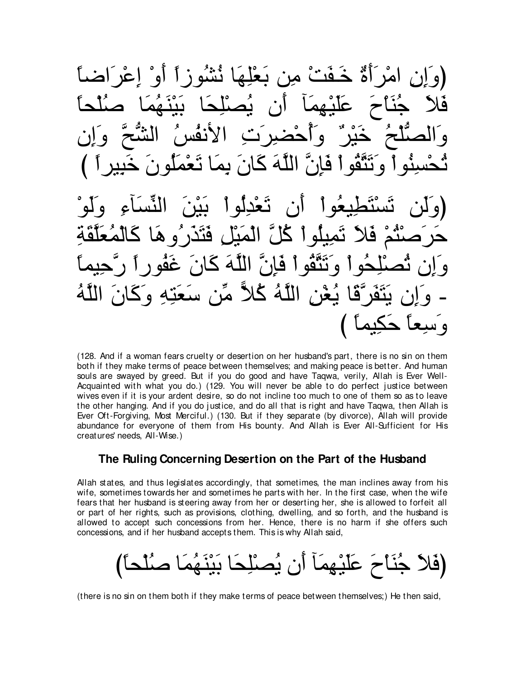

(128. And if a woman fears cruelty or desertion on her husband's part, there is no sin on them both if they make terms of peace between themselves; and making peace is better. And human souls are swayed by greed. But if you do good and have Taqwa, verily, Allah is Ever Well-Acquainted with what you do.) (129. You will never be able to do perfect justice between wives even if it is your ardent desire, so do not incline too much to one of them so as to leave the other hanging. And if you do justice, and do all that is right and have Tagwa, then Allah is Ever Oft-Forgiving, Most Merciful.) (130. But if they separate (by divorce), Allah will provide abundance for everyone of them from His bounty. And Allah is Ever All-Sufficient for His creatures' needs, All-Wise.)

#### The Ruling Concerning Desertion on the Part of the Husband

Allah states, and thus legislates accordingly, that sometimes, the man inclines away from his wife, sometimes towards her and sometimes he parts with her. In the first case, when the wife fears that her husband is steering away from her or deserting her, she is allowed to forfeit all or part of her rights, such as provisions, clothing, dwelling, and so forth, and the husband is allowed to accept such concessions from her. Hence, there is no harm if she offers such concessions, and if her husband accepts them. This is why Allah said,

(there is no sin on them both if they make terms of peace between themselves;) He then said,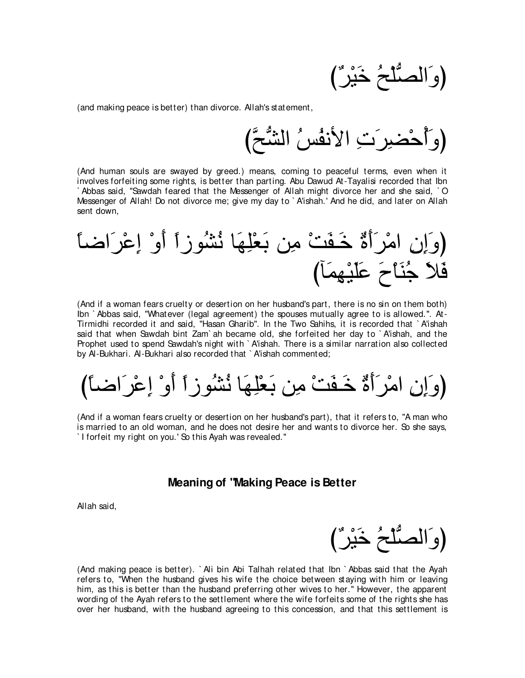び∀ゲ∇Β∠カ ⊥ウ∇ヤぁダャや∠ヱぴ

(and making peace is better) than divorce. Allah's statement,

びzウぁゼャや ⊥ザ⊥ヘルΕや ⌒れ∠ゲ⌒ツ∇ェ⊥ぺ∠ヱぴ

(And human souls are swayed by greed.) means, coming to peaceful terms, even when it involves forfeiting some rights, is better than parting. Abu Dawud At-Tayalisi recorded that Ibn ` Abbas said, "Sawdah feared that the Messenger of Allah might divorce her and she said, ` O Messenger of Allah! Do not divorce me; give my day to ` A'ishah.' And he did, and later on Allah sent down,

⇔ゅッや∠ゲ∇ハ⌒ま ∇ヱ∠ぺ ⇔やコヲ⊥ゼ⊥ル ゅ∠ヰ⌒ヤ∇バ∠よ リ⌒ョ ∇ろ∠ヘ⇒∠カ ∀り∠ぺ∠ゲ∇ョや ⌒ラ⌒ま∠ヱぴ びべ∠ヨ⌒ヰ∇Β∠ヤ∠ハ ∠ゥ∇ゅ∠レ⊥ィ ∠Κ∠プ

(And if a woman fears cruelty or desertion on her husband's part, there is no sin on them both) Ibn ` Abbas said, "Whatever (legal agreement) the spouses mutually agree to is allowed.''. At-Tirmidhi recorded it and said, "Hasan Gharib''. In the Two Sahihs, it is recorded that ` A'ishah said that when Sawdah bint Zam` ah became old, she forfeited her day to ` A'ishah, and the Prophet used to spend Sawdah's night with ` A'ishah. There is a similar narration also collected by Al-Bukhari. Al-Bukhari also recorded that ` A'ishah commented;

び⇔ゅッや∠ゲ∇ハ⌒ま ∇ヱ∠ぺ ⇔やコヲ⊥ゼ⊥ル ゅ∠ヰ⌒ヤ∇バ∠よ リ⌒ョ ∇ろ∠ヘ⇒∠カ ∀り∠ぺ∠ゲ∇ョや ⌒ラ⌒ま∠ヱぴ

(And if a woman fears cruelty or desertion on her husband's part), that it refers to, "A man who is married to an old woman, and he does not desire her and wants to divorce her. So she says, ` I forfeit my right on you.' So this Ayah was revealed.''

#### **Meaning of "Making Peace is Better**

Allah said,

び∀ゲ∇Β∠カ ⊥ウ∇ヤぁダャや∠ヱぴ

(And making peace is better). ` Ali bin Abi Talhah related that Ibn ` Abbas said that the Ayah refers to, "When the husband gives his wife the choice between staying with him or leaving him, as this is better than the husband preferring other wives to her.'' However, the apparent wording of the Ayah refers to the settlement where the wife forfeits some of the rights she has over her husband, with the husband agreeing to this concession, and that this settlement is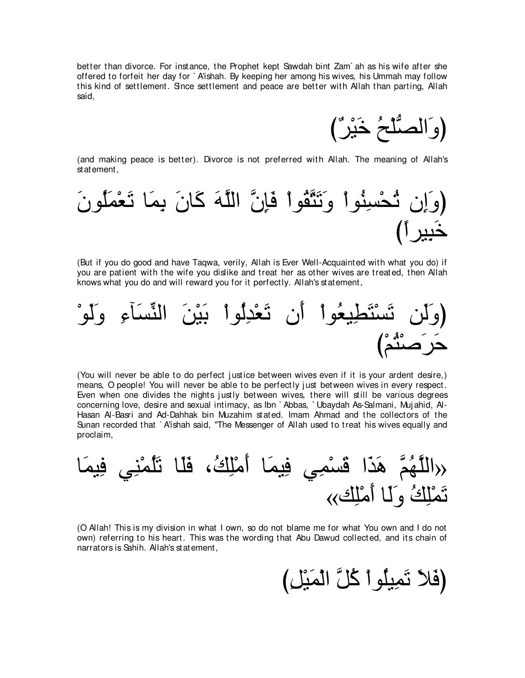better than divorce. For instance, the Prophet kept Sawdah bint Zam` ah as his wife after she offered to forfeit her day for ` A'ishah. By keeping her among his wives, his Ummah may follow this kind of settlement. Since settlement and peace are better with Allah than parting, Allah said,

(وَالصَّلْحُ خَيْرٌ )

(and making peace is better). Divorce is not preferred with Allah. The meaning of Allah's statement,



(But if you do good and have Taqwa, verily, Allah is Ever Well-Acquainted with what you do) if you are patient with the wife you dislike and treat her as other wives are treated, then Allah knows what you do and will reward you for it perfectly. Allah's statement,



(You will never be able to do perfect j ustice between wives even if it is your ardent desire,) means, O people! You will never be able to be perfectly j ust between wives in every respect. Even when one divides the nights justly between wives, there will still be various degrees concerning love, desire and sexual intimacy, as Ibn ` Abbas, ` Ubaydah As-Salmani, Muj ahid, Al-Hasan Al-Basri and Ad-Dahhak bin Muzahim stated. Imam Ahmad and the collectors of the Sunan recorded that ` A'ishah said, "The Messenger of Allah used to treat his wives equally and proclaim,



(O Allah! This is my division in what I own, so do not blame me for what You own and I do not own) referring to his heart. This was the wording that Abu Dawud collected, and its chain of narrators is Sahih. Allah's statement,

(فَلا تَمِيلُو ا كُلَّ الْمَيْلِ)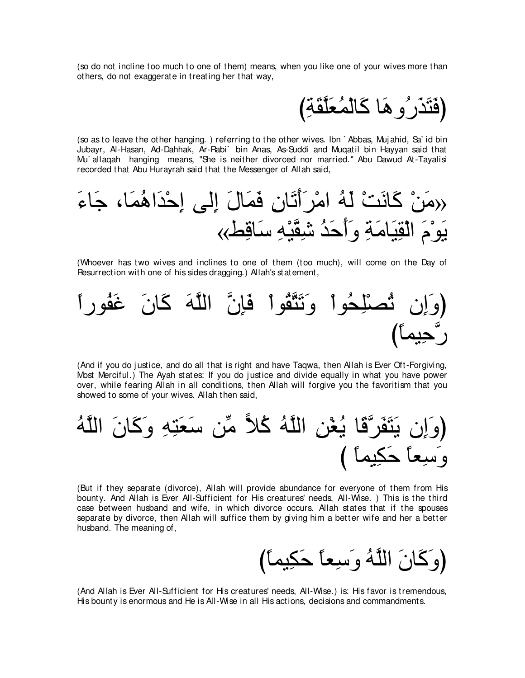(so do not incline too much to one of them) means, when you like one of your wives more than others, do not exaggerate in treating her that way,



(so as to leave the other hanging. ) referring to the other wives. Ibn ` Abbas, Muj ahid, Sa` id bin Jubayr, Al-Hasan, Ad-Dahhak, Ar-Rabi` bin Anas, As-Suddi and Muqatil bin Hayyan said that Mu` allaqah hanging means, "She is neither divorced nor married.'' Abu Dawud At-Tayalisi recorded that Abu Hurayrah said that the Messenger of Allah said,



(Whoever has two wives and inclines to one of them (too much), will come on the Day of Resurrection with one of his sides dragging.) Allah's statement,



(And if you do j ustice, and do all that is right and have Taqwa, then Allah is Ever Oft-Forgiving, Most Merciful.) The Ayah states: If you do j ustice and divide equally in what you have power over, while fearing Allah in all conditions, then Allah will forgive you the favoritism that you showed to some of your wives. Allah then said,



(But if they separate (divorce), Allah will provide abundance for everyone of them from His bounty. And Allah is Ever All-Sufficient for His creatures' needs, All-Wise. ) This is the third case between husband and wife, in which divorce occurs. Allah states that if the spouses separate by divorce, then Allah will suffice them by giving him a better wife and her a better husband. The meaning of,

(وَكَانَ اللَّهُ وَسِعاً حَكِيماً)

(And Allah is Ever All-Sufficient for His creatures' needs, All-Wise.) is: His favor is tremendous, His bounty is enormous and He is All-Wise in all His actions, decisions and commandments.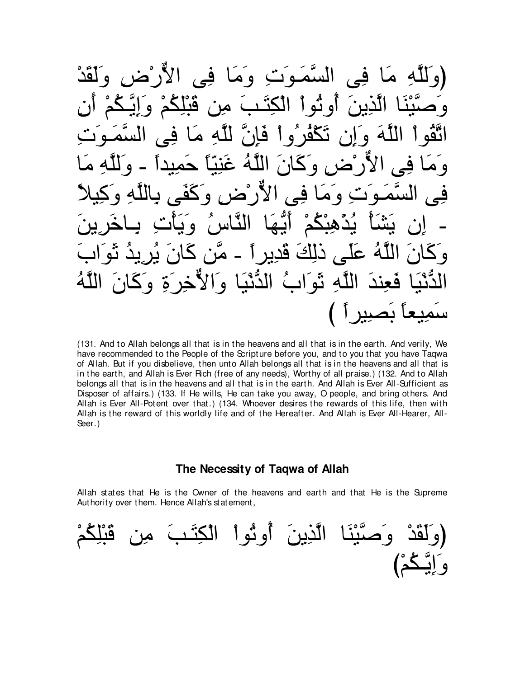$\dot{\mathbf{e}}$ وٽ وما قُلْلَكُمْ و ھر'  $\bullet$  $\ddot{a}$ **ijc** Á  $\sqrt{ }$ ی ِ فدب  $\Delta$ ُم' الدُّثْنَا \*<br>ئە  $\bullet$   $\ddot{\bullet}$  $\bullet$ ا د 4  $\subset$ 

(131. And to Allah belongs all that is in the heavens and all that is in the earth. And verily, We have recommended to the People of the Scripture before you, and to you that you have Tagwa of Allah. But if you disbelieve, then unto Allah belongs all that is in the heavens and all that is in the earth, and Allah is Ever Rich (free of any needs), Worthy of all praise.) (132. And to Allah belongs all that is in the heavens and all that is in the earth. And Allah is Ever All-Sufficient as Disposer of affairs.) (133. If He wills, He can take you away, O people, and bring others. And Allah is Ever All-Potent over that.) (134. Whoever desires the rewards of this life, then with Allah is the reward of this worldly life and of the Hereafter. And Allah is Ever All-Hearer, All-Seer.)

#### The Necessity of Taqwa of Allah

Allah states that He is the Owner of the heavens and earth and that He is the Supreme Authority over them. Hence Allah's statement,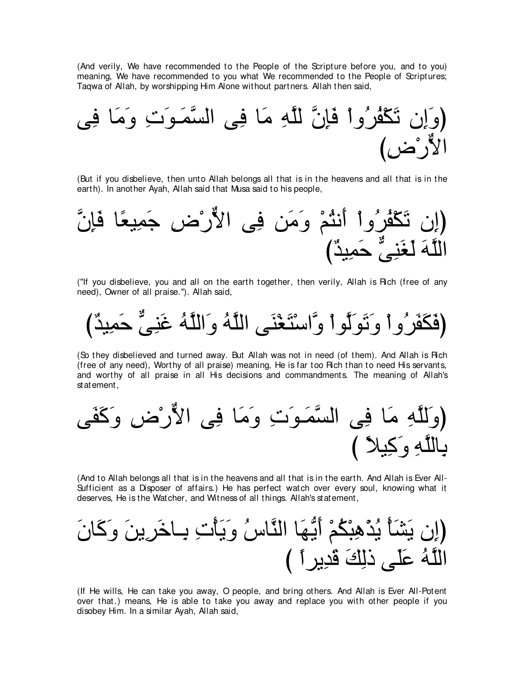(And verily, We have recommended to the People of the Scripture before you, and to you) meaning, We have recommended to you what We recommended to the People of Scriptures; Taqwa of Allah, by worshipping Him Alone without partners. Allah then said,



(But if you disbelieve, then unto Allah belongs all that is in the heavens and all that is in the earth). In another Ayah, Allah said that Musa said to his people,



("If you disbelieve, you and all on the earth together, then verily, Allah is Rich (free of any need), Owner of all praise.''). Allah said,



(So they disbelieved and turned away. But Allah was not in need (of them). And Allah is Rich (free of any need), Worthy of all praise) meaning, He is far too Rich than to need His servants, and worthy of all praise in all His decisions and commandments. The meaning of Allah's statement,



(And to Allah belongs all that is in the heavens and all that is in the earth. And Allah is Ever All-Sufficient as a Disposer of affairs.) He has perfect watch over every soul, knowing what it deserves, He is the Watcher, and Witness of all things. Allah's statement,

∠ラゅ∠ミ∠ヱ ∠リΑ⌒ゲ∠カゅ⇒⌒よ ⌒れ∇ほ∠Α∠ヱ ⊥サゅzレャや ゅ∠ヰぁΑ∠ぺ ∇ユ⊥ム∇ら⌒ワ∇グ⊥Α ∇ほ∠ゼ∠Α ラ⌒まぴ び ⇔やゲΑ⌒ギ∠ホ ∠マ⌒ャク ヴ∠ヤ∠ハ ⊥ヮzヤャや

(If He wills, He can take you away, O people, and bring others. And Allah is Ever All-Potent over that.) means, He is able to take you away and replace you with other people if you disobey Him. In a similar Ayah, Allah said,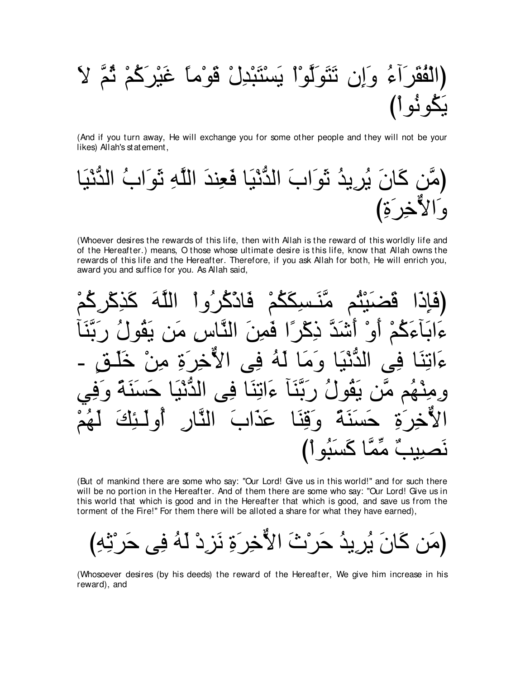(الْفُقَرَآءُ وَإِن تَتَوَلَّوْا يَسْتَبْدِلْ قَوْماً غَيْرَكُمْ ثُمَّ لاَ<br>يَكُونُوا)

(And if you turn away, He will exchange you for some other people and they will not be your likes) Allah's statement.

(Whoever desires the rewards of this life, then with Allah is the reward of this worldly life and of the Hereafter.) means, O those whose ultimate desire is this life, know that Allah owns the rewards of this life and the Hereafter. Therefore, if you ask Allah for both, He will enrich you, award you and suffice for you. As Allah said,

(But of mankind there are some who say: "Our Lord! Give us in this world!" and for such there will be no portion in the Hereafter. And of them there are some who say: "Our Lord! Give us in this world that which is good and in the Hereafter that which is good, and save us from the torment of the Fire!" For them there will be alloted a share for what they have earned),

(Whosoever desires (by his deeds) the reward of the Hereafter, We give him increase in his reward), and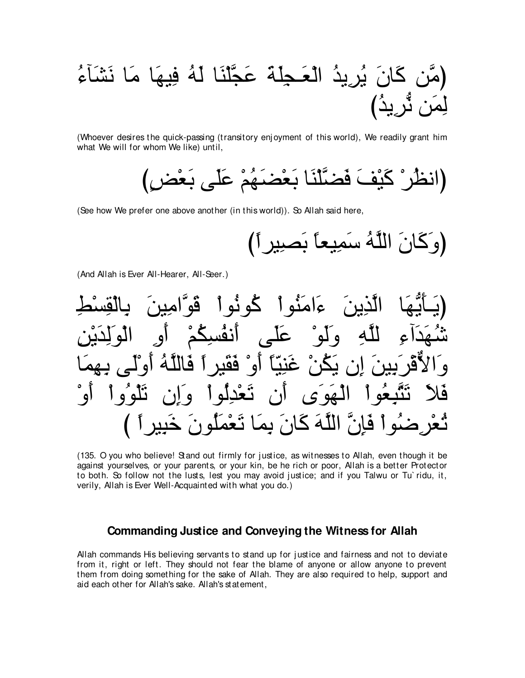(مَّن گانَ يُرِيدُ الَعَجِلَةَ عَجَّلُنَا لَهُ فيِهَا مَا نَشَاَءُ
$$
\therefore
$$

(Whoever desires the quick-passing (transitory enjoyment of this world), We readily grant him what We will for whom We like) until.

(See how We prefer one above another (in this world)). So Allah said here,

(And Allah is Ever All-Hearer, All-Seer.)



(135. O you who believe! Stand out firmly for justice, as witnesses to Allah, even though it be against yourselves, or your parents, or your kin, be he rich or poor, Allah is a better Protector to both. So follow not the lusts, lest you may avoid justice; and if you Talwu or Tu ridu, it, verily, Allah is Ever Well-Acquainted with what you do.)

# Commanding Justice and Conveying the Witness for Allah

Allah commands His believing servants to stand up for justice and fairness and not to deviate from it, right or left. They should not fear the blame of anyone or allow anyone to prevent them from doing something for the sake of Allah. They are also required to help, support and aid each other for Allah's sake. Allah's statement,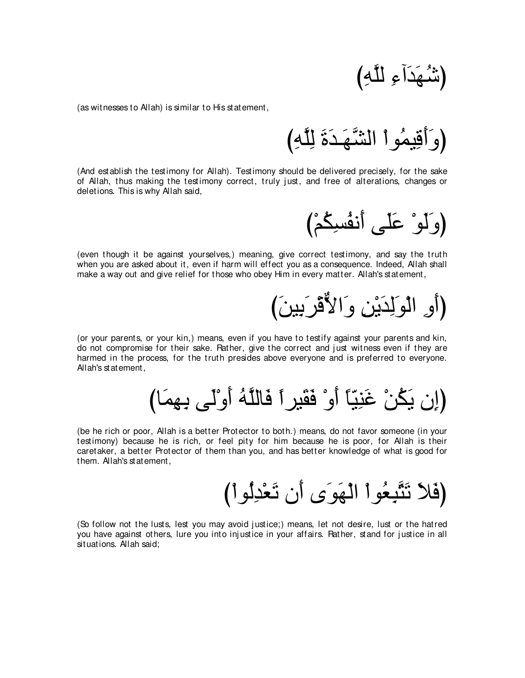(شُهَدَأُعِ لَلَّهِ*)* 

(as witnesses to Allah) is similar to His statement,

(وَ أَقِيمُو أَ الشَّهَدَةَ لِلَّهِ)

(And establish the testimony for Allah). Testimony should be delivered precisely, for the sake of Allah, thus making the testimony correct, truly j ust, and free of alterations, changes or deletions. This is why Allah said,

(وَلَوْ عَلَى أَنفُسِكُمْ)

(even though it be against yourselves,) meaning, give correct testimony, and say the truth when you are asked about it, even if harm will effect you as a consequence. Indeed, Allah shall make a way out and give relief for those who obey Him in every matter. Allah's statement,

(أَوِ الْوَلِدَيْنِ وَالأَقْرَبِينَ)

(or your parents, or your kin,) means, even if you have to testify against your parents and kin, do not compromise for their sake. Rather, give the correct and just witness even if they are harmed in the process, for the truth presides above everyone and is preferred to everyone. Allah's statement,

(إن يَكُنْ غَنِيّاً أَوْ فَقَيراً فَاللَّهُ أَوْلَى بِـهِمَا)

(be he rich or poor, Allah is a better Protector to both.) means, do not favor someone (in your testimony) because he is rich, or feel pity for him because he is poor, for Allah is their caretaker, a better Protector of them than you, and has better knowledge of what is good for them. Allah's statement,

び∇やヲ⊥ャ⌒ギ∇バ∠ゎ ラ∠ぺ ン∠ヲ∠ヰ∇ャや ∇やヲ⊥バ⌒らzわ∠ゎ ∠Κ∠プぴ

(So follow not the lusts, lest you may avoid justice;) means, let not desire, lust or the hatred you have against others, lure you into injustice in your affairs. Pather, stand for justice in all situations. Allah said;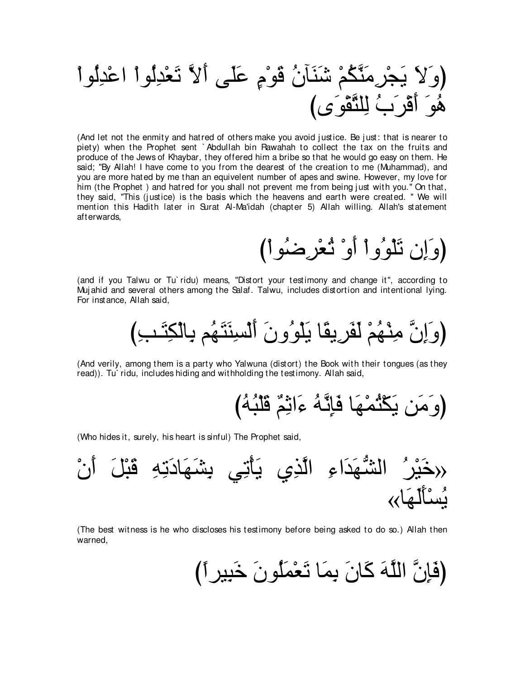∇やヲ⊥ャ⌒ギ∇ハや ∇やヲ⊥ャ⌒ギ∇バ∠ゎ zΙ∠ぺ ヴ∠ヤ∠ハ ∃ュ∇ヲ∠ホ ⊥ラべ∠レ∠セ ∇ユ⊥ムzレ∠ョ⌒ゲ∇イ∠Α ∠Ι∠ヱぴ びン∠ヲ∇ボzわヤ⌒ャ ⊥ゆ∠ゲ∇ホ∠ぺ ∠ヲ⊥ワ

(And let not the enmity and hatred of others make you avoid justice. Be just: that is nearer to piety) when the Prophet sent ` Abdullah bin Rawahah to collect the tax on the fruits and produce of the Jews of Khaybar, they offered him a bribe so that he would go easy on them. He said; "By Allah! I have come to you from the dearest of the creation to me (Muhammad), and you are more hated by me than an equivelent number of apes and swine. However, my love for him (the Prophet) and hatred for you shall not prevent me from being just with you." On that, they said, "This (justice) is the basis which the heavens and earth were created. " We will mention this Hadith later in Surat Al-Ma'idah (chapter 5) Allah willing. Allah's statement afterwards,

# (وَإِن تَلْوُوا أَوْ نُعْرِضُوا)

(and if you Talwu or Tu` ridu) means, "Distort your testimony and change it'', according to Muj ahid and several others among the Salaf. Talwu, includes distortion and intentional lying. For instance, Allah said,

び⌒ょ⇒∠わ⌒ム∇ャゅ⌒よ ユ⊥ヰ∠わ∠レ⌒ジ∇ャ∠ぺ ∠ラヱ⊥ヲ∇ヤ∠Α ゅ⇔ボΑ⌒ゲ∠ヘ∠ャ ∇ユ⊥ヰ∇レ⌒ョ zラ⌒ま∠ヱぴ

(And verily, among them is a party who Yalwuna (distort) the Book with their tongues (as they read)). Tu` ridu, includes hiding and withholding the testimony. Allah said,

び⊥ヮ⊥ら∇ヤ∠ホ ∀ユ⌒をや∠¬ ⊥ヮzル⌒み∠プ ゅ∠ヰ∇ヨ⊥わ∇ム∠Α リ∠ョ∠ヱぴ

(Who hides it, surely, his heart is sinful) The Prophet said,

∇ラ∠ぺ ∠モ∇ら∠ホ ⌒ヮ⌒ゎ∠キゅ∠ヰ∠ゼ⌒よ ヶ⌒ゎ∇ほ∠Α ヵ⌒グzャや ⌒¬や∠ギ∠ヰぁゼャや ⊥ゲ∇Β∠カ» «ゅ∠ヰ∠ャ∠ほ∇ジ⊥Α

(The best witness is he who discloses his testimony before being asked to do so.) Allah then warned,

(فَإِنَّ اللَّهَ كَانَ بِمَا تَعْمَلُونَ خَبِيرِ أَ)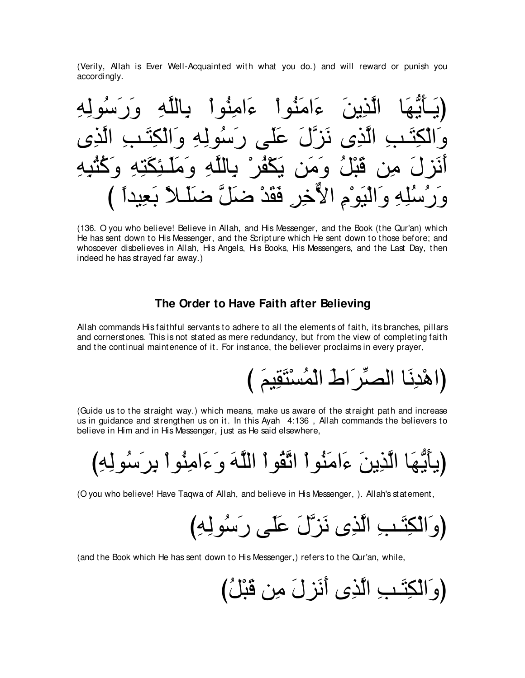(Verily, Allah is Ever Well-Acquainted with what you do.) and will reward or punish you accordingly.



(136. O you who believe! Believe in Allah, and His Messenger, and the Book (the Qur'an) which He has sent down to His Messenger, and the Scripture which He sent down to those before; and whosoever disbelieves in Allah, His Angels, His Books, His Messengers, and the Last Day, then indeed he has strayed far away.)

#### The Order to Have Faith after Believing

Allah commands His faithful servants to adhere to all the elements of faith, its branches, pillars and cornerstones. This is not stated as mere redundancy, but from the view of completing faith and the continual maintenence of it. For instance, the believer proclaims in every prayer,

(Guide us to the straight way.) which means, make us aware of the straight path and increase us in guidance and strengthen us on it. In this Ayah 4:136, Allah commands the believers to believe in Him and in His Messenger, just as He said elsewhere,

الَّذِينَ ءَامَنُو أَ اتَّقُو أَ اللَّهَ وَ ءَامِنُو أَ بِرِ َسُولِهِ)

(O you who believe! Have Taqwa of Allah, and believe in His Messenger, ). Allah's statement,

(and the Book which He has sent down to His Messenger,) refers to the Qur'an, while,

(وَ الْكِتَـٰبِ الَّذِي أَنَزِ لَ مِن قَبْلُ)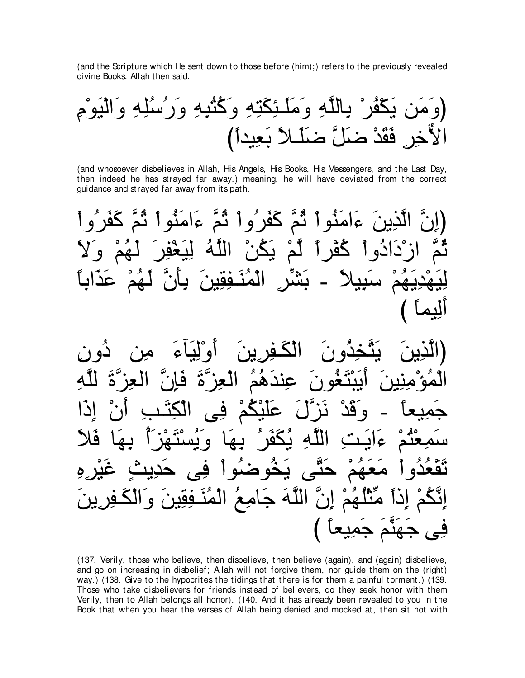(and the Scripture which He sent down to those before (him);) refers to the previously revealed divine Books. Allah then said,



(and whosoever disbelieves in Allah, His Angels, His Books, His Messengers, and the Last Day, then indeed he has strayed far away.) meaning, he will have deviated from the correct guidance and strayed far away from its path.

عندهُمَ د  $\sim$ الله ج  $\mathbf{z}$ م ـ

(137. Verily, those who believe, then disbelieve, then believe (again), and (again) disbelieve, and go on increasing in disbelief; Allah will not forgive them, nor guide them on the (right) way.) (138. Give to the hypocrites the tidings that there is for them a painful torment.) (139. Those who take disbelievers for friends instead of believers, do they seek honor with them Verily, then to Allah belongs all honor). (140. And it has already been revealed to you in the Book that when you hear the verses of Allah being denied and mocked at, then sit not with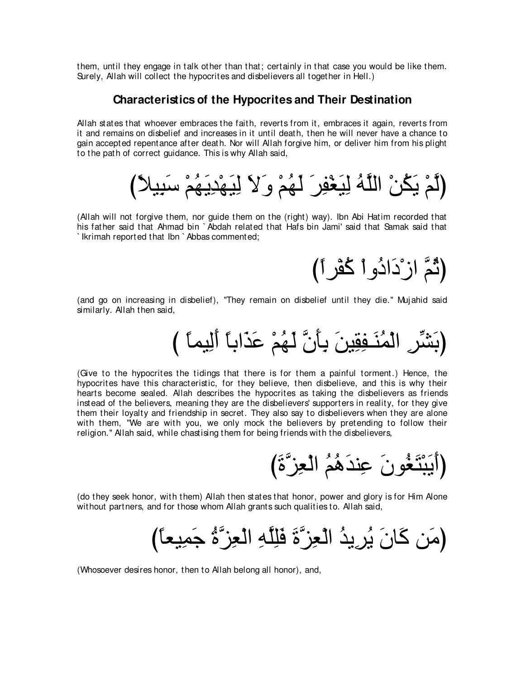them, until they engage in talk other than that; certainly in that case you would be like them. Surely, Allah will collect the hypocrites and disbelievers all together in Hell.)

#### **Characteristics of the Hypocrites and Their Destination**

Allah states that whoever embraces the faith, reverts from it, embraces it again, reverts from it and remains on disbelief and increases in it until death, then he will never have a chance to gain accepted repentance after death. Nor will Allah forgive him, or deliver him from his plight to the path of correct guidance. This is why Allah said,

(لَمْ يَكُنْ اللَّهُ لِيَعْفِرَ لَهُمْ وَلاَ لِيَهْدِيَهُمْ سَبِيلاً *)* 

(Allah will not forgive them, nor guide them on the (right) way). Ibn Abi Hatim recorded that his father said that Ahmad bin ` Abdah related that Hafs bin Jami' said that Samak said that ` Ikrimah reported that Ibn ` Abbas commented;



(and go on increasing in disbelief), "They remain on disbelief until they die.'' Muj ahid said similarly. Allah then said,

(بَشَّر الْمُذَفِقِينَ بِأَنَّ لَهُمْ عَذَاباً أَلِيماً )

(Give to the hypocrites the tidings that there is for them a painful torment.) Hence, the hypocrites have this characteristic, for they believe, then disbelieve, and this is why their hearts become sealed. Allah describes the hypocrites as taking the disbelievers as friends instead of the believers, meaning they are the disbelievers' supporters in reality, for they give them their loyalty and friendship in secret. They also say to disbelievers when they are alone with them, "We are with you, we only mock the believers by pretending to follow their religion." Allah said, while chastising them for being friends with the disbelievers,

(أَيَبْتَغُونَ عِندَهُمُ الْعِز<sup>ِ</sup>ّةَ)

(do they seek honor, with them) Allah then states that honor, power and glory is for Him Alone without partners, and for those whom Allah grants such qualities to. Allah said,

(مَن كَانَ يُرِيدُ الْعِزَّةَ فَلِلَّهِ الْعِزَّةُ جَمِيعاً)

(Whosoever desires honor, then to Allah belong all honor), and,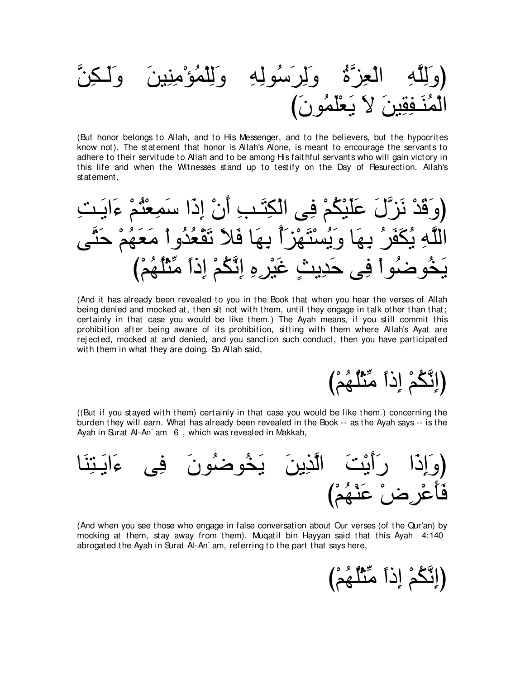zリ⌒ム⇒∠ャ∠ヱ ∠リΒ⌒レ⌒ョ∇ぽ⊥ヨ∇ヤ⌒ャ∠ヱ ⌒ヮ⌒ャヲ⊥シ∠ゲ⌒ャ∠ヱ ⊥りzゴ⌒バ∇ャや ⌒ヮzヤ⌒ャ∠ヱぴ び∠ラヲ⊥ヨ∠ヤ∇バ∠Α ∠Ι ∠リΒ⌒ボ⌒ヘ⇒∠レ⊥ヨ∇ャや

(But honor belongs to Allah, and to His Messenger, and to the believers, but the hypocrites know not). The statement that honor is Allah's Alone, is meant to encourage the servants to adhere to their servitude to Allah and to be among His faithful servants who will gain victory in this life and when the Witnesses stand up to testify on the Day of Resurection. Allah's statement,

⌒ろ⇒∠Αや∠¬ ∇ユ⊥わ∇バ⌒ヨ∠シ や∠ク⌒ま ∇ラ∠ぺ ⌒ょ⇒∠わ⌒ム∇ャや ヴ⌒プ ∇ユ⊥ム∇Β∠ヤ∠ハ ∠メzゴ∠ル ∇ギ∠ホ∠ヱぴ ヴzわ∠ェ ∇ユ⊥ヰ∠バ∠ョ ∇やヱ⊥ギ⊥バ∇ボ∠ゎ ∠Κ∠プ ゅ∠ヰ⌒よ ⊥ぺ∠ゴ∇ヰ∠わ∇ジ⊥Α∠ヱ ゅ∠ヰ⌒よ ⊥ゲ∠ヘ∠ム⊥Α ⌒ヮzヤャや び∇ユ⊥ヰ⊥ヤ∇んあョ ⇔やク⌒ま ∇ユ⊥ムzル⌒ま ⌒ロ⌒ゲ∇Β∠ビ ∃ゑΑ⌒ギ∠ェ ヴ⌒プ ∇やヲ⊥ッヲ⊥ガ∠Α

(And it has already been revealed to you in the Book that when you hear the verses of Allah being denied and mocked at, then sit not with them, until they engage in talk other than that; certainly in that case you would be like them.) The Ayah means, if you still commit this prohibition after being aware of its prohibition, sitting with them where Allah's Ayat are rej ected, mocked at and denied, and you sanction such conduct, then you have participated with them in what they are doing. So Allah said,

び∇ユ⊥ヰ⊥ヤ∇んあョ ⇔やク⌒ま ∇ユ⊥ムzル⌒まぴ

((But if you stayed with them) certainly in that case you would be like them.) concerning the burden they will earn. What has already been revealed in the Book -- as the Ayah says -- is the Ayah in Surat Al-An` am 6 , which was revealed in Makkah,



(And when you see those who engage in false conversation about Our verses (of the Qur'an) by mocking at them, stay away from them). Muqatil bin Hayyan said that this Ayah 4:140 abrogated the Ayah in Surat Al-An` am, referring to the part that says here,

び∇ユ⊥ヰ⊥ヤ∇んあョ ⇔やク⌒ま ∇ユ⊥ムzル⌒まぴ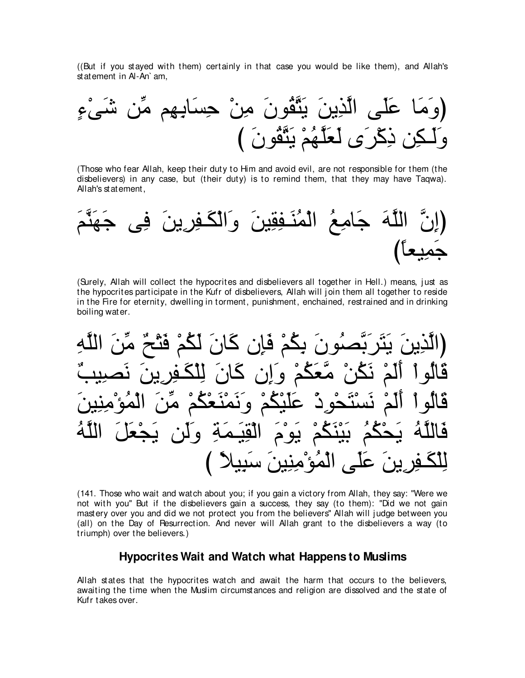((But if you stayed with them) certainly in that case you would be like them), and Allah's statement in Al-An'am,



(Those who fear Allah, keep their duty to Him and avoid evil, are not responsible for them (the disbelievers) in any case, but (their duty) is to remind them, that they may have Taqwa). Allah's statement,



(Surely, Allah will collect the hypocrites and disbelievers all together in Hell.) means, just as the hypocrites participate in the Kufr of disbelievers, Allah will join them all together to reside in the Fire for eternity, dwelling in torment, punishment, enchained, restrained and in drinking boiling water.

(الَّذِينَ يَتَرَ بَّصُنُو نَ بِكُمْ فَإِن كَانَ لَكُمْ فَتْحٌ مِّر نَكْنْ مُعَكَّمْ وَإِن كَانٍ لِهِ عَلَنْكُمْ ونَمْنَعْكُمْ عو د القبمة ولن يجعر يننكم ىو عَلَّى الْمُؤْمِنِينَ سَبِي

(141. Those who wait and watch about you; if you gain a victory from Allah, they say: "Were we not with you" But if the disbelievers gain a success, they say (to them): "Did we not gain mastery over you and did we not protect you from the believers" Allah will judge between you (all) on the Day of Resurrection. And never will Allah grant to the disbelievers a way (to triumph) over the believers.)

#### **Hypocrites Wait and Watch what Happens to Muslims**

Allah states that the hypocrites watch and await the harm that occurs to the believers. awaiting the time when the Muslim circumstances and religion are dissolved and the state of Kufr takes over.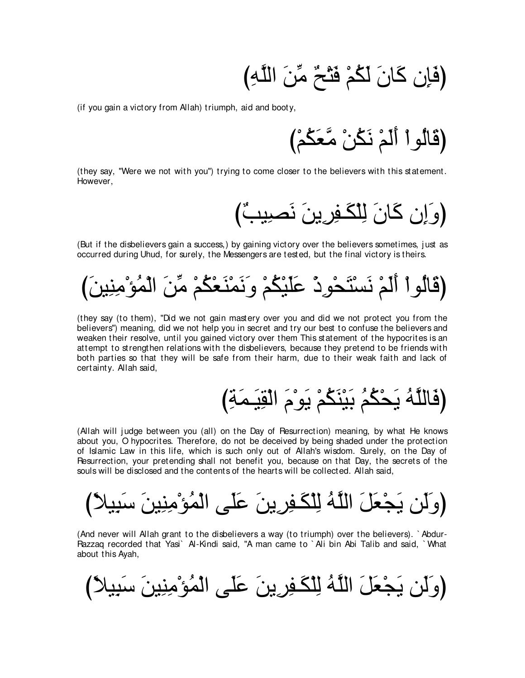(فَإِن كَانَ لَكُمْ فَثْحٌ مِّنَ اللَّهِ)

(if you gain a victory from Allah) triumph, aid and booty,

(قَالُوا أَلَمْ نَكُنْ مَّعَكُمْ)

(they say, "Were we not with you'') trying to come closer to the believers with this statement. However,

(وَ اِن كَانَ لِلْكَـفِرِ بِنَ نَصِيِبِّ)

(But if the disbelievers gain a success,) by gaining victory over the believers sometimes, j ust as occurred during Uhud, for surely, the Messengers are tested, but the final victory is theirs.



(they say (to them), "Did we not gain mastery over you and did we not protect you from the believers'') meaning, did we not help you in secret and try our best to confuse the believers and weaken their resolve, until you gained victory over them This statement of the hypocrites is an attempt to strengthen relations with the disbelievers, because they pretend to be friends with both parties so that they will be safe from their harm, due to their weak faith and lack of certainty. Allah said,

(فَاللَّهُ يَحْكُمُ بَيْنَكُمْ يَو<sup>ْ</sup>مَ الْقِيَـمَةِ)

(Allah will judge between you (all) on the Day of Pesurrection) meaning, by what He knows about you, O hypocrites. Therefore, do not be deceived by being shaded under the protection of Islamic Law in this life, which is such only out of Allah's wisdom. Surely, on the Day of Resurrection, your pretending shall not benefit you, because on that Day, the secrets of the souls will be disclosed and the contents of the hearts will be collected. Allah said,

(وَلِّن يَجْعَلَ اللَّهُ لِلْكَفِرِينَ عَلَى الْمُوْمِنِينَ سَبِيلاً *إِ* 

(And never will Allah grant to the disbelievers a way (to triumph) over the believers). ` Abdur-Razzaq recorded that Yasi` Al-Kindi said, "A man came to ` Ali bin Abi Talib and said, ` What about this Ayah,

(وَلِّن يَجْعَلَ اللَّهُ لِلْكَفِرِينَ عَلَى الْمُوْْمِنِينَ سَبِيلاً )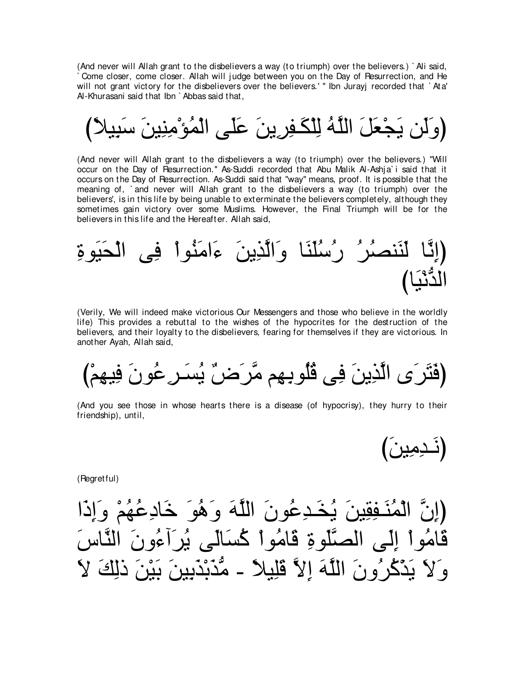(And never will Allah grant to the disbelievers a way (to triumph) over the believers.) ` Ali said, Come closer, come closer. Allah will judge between you on the Day of Resurrection, and He will not grant victory for the disbelievers over the believers.' " Ibn Jurayj recorded that `Ata' Al-Khurasani said that Ibn ` Abbas said that,

(وَلَن يَجْعَلَ اللَّهُ لِلْكَـفِرِينَ عَلَى الْمُوْ ْمِنِينَ سَبِي

(And never will Allah grant to the disbelievers a way (to triumph) over the believers.) "Will occur on the Day of Resurrection." As-Suddi recorded that Abu Malik Al-Ashja' i said that it occurs on the Day of Resurrection. As-Suddi said that "way'' means, proof. It is possible that the meaning of, ` and never will Allah grant to the disbelievers a way (to triumph) over the believers', is in this life by being unable to exterminate the believers completely, although they sometimes gain victory over some Muslims. However, the Final Triumph will be for the believers in this life and the Hereafter. Allah said,

لنَنصُرُ رُسُلَنَا وَاللَّذِينَ ءَامَنُواْ فِي الحيوةِ الدَّنْيَا)

(Verily, We will indeed make victorious Our Messengers and those who believe in the worldly life) This provides a rebuttal to the wishes of the hypocrites for the destruction of the believers, and their loyalty to the disbelievers, fearing for themselves if they are victorious. In another Ayah, Allah said,

(فَتَرَى الّذِينَ فِي قُلُوبِهِم مَّرَضٌ يُسَرِ عُونَ فِيهِمْ)

(And you see those in whose hearts there is a disease (of hypocrisy), they hurry to their friendship), until,

(ٽـدِمِين)

(Regretful)

الْمُذَفِقِينَ يُخَدِعُونَ اللَّهَ وَهُوَ خَادِعُهُمْ وَإِذَا قَامُو ا اِلّـى الصَّلَوةِ قَامُو ا كُسَالَـى يُر آءُو نَ النَّاسَ وَ لاَ يَدْكُر ُو نَ اللَّهَ إِلاَّ قَلِيلاً - مُّدَبْدَيِينَ بَيْنَ ذَلِكَ لاَ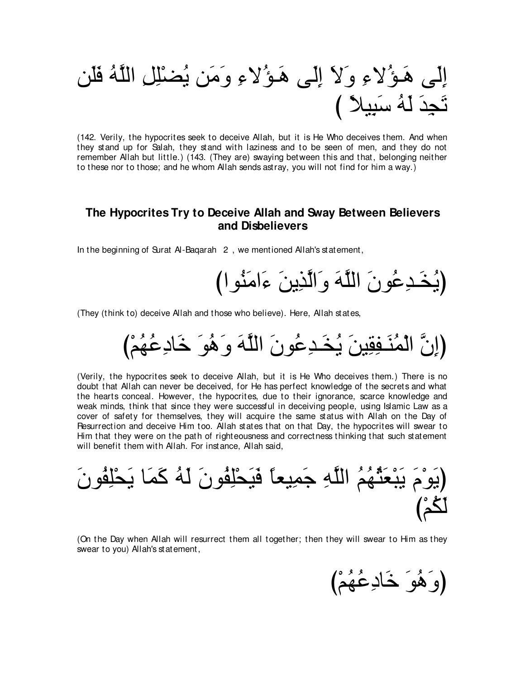إلى هَـوْ'لاءِ وَلاَ إِلَـى هَـوْ'لاءِ وَمَن يُضْلِل اللَّهُ فَلَن تَجِدَ لَهُ سَبِيلاً )

(142. Verily, the hypocrites seek to deceive Allah, but it is He Who deceives them. And when they stand up for Salah, they stand with laziness and to be seen of men, and they do not remember Allah but little.) (143. (They are) swaying between this and that, belonging neither to these nor to those; and he whom Allah sends astray, you will not find for him a way.)

# **The Hypocrites Try to Deceive Allah and Sway Between Believers and Disbelievers**

In the beginning of Surat Al-Baqarah 2 , we mentioned Allah's statement,

(يُخَـدِعُو نَ اللَّهَ وَ الَّذِينَ ءَامَنُو ا)

(They (think to) deceive Allah and those who believe). Here, Allah states,

び∇ユ⊥ヰ⊥ハ⌒キゅ∠カ ∠ヲ⊥ワ∠ヱ ∠ヮzヤャや ∠ラヲ⊥ハ⌒ギ⇒∠ガ⊥Α ∠リΒ⌒ボ⌒ヘ⇒∠レ⊥ヨ∇ャや zラ⌒まぴ

(Verily, the hypocrites seek to deceive Allah, but it is He Who deceives them.) There is no doubt that Allah can never be deceived, for He has perfect knowledge of the secrets and what the hearts conceal. However, the hypocrites, due to their ignorance, scarce knowledge and weak minds, think that since they were successful in deceiving people, using Islamic Law as a cover of safety for themselves, they will acquire the same status with Allah on the Day of Resurrection and deceive Him too. Allah states that on that Day, the hypocrites will swear to Him that they were on the path of righteousness and correctness thinking that such statement will benefit them with Allah. For instance, Allah said,

∠ラヲ⊥ヘ⌒ヤ∇エ∠Α ゅ∠ヨ∠ミ ⊥ヮ∠ャ ∠ラヲ⊥ヘ⌒ヤ∇エ∠Β∠プ ⇔ゅバΒ⌒ヨ∠ィ ⌒ヮzヤャや ⊥ユ⊥ヰ⊥ん∠バ∇ら∠Α ∠ュ∇ヲ∠Αぴ び∇ユ⊥ム∠ャ

(On the Day when Allah will resurrect them all together; then they will swear to Him as they swear to you) Allah's statement,

(وَ هُوَ خَادِعُهُمْ)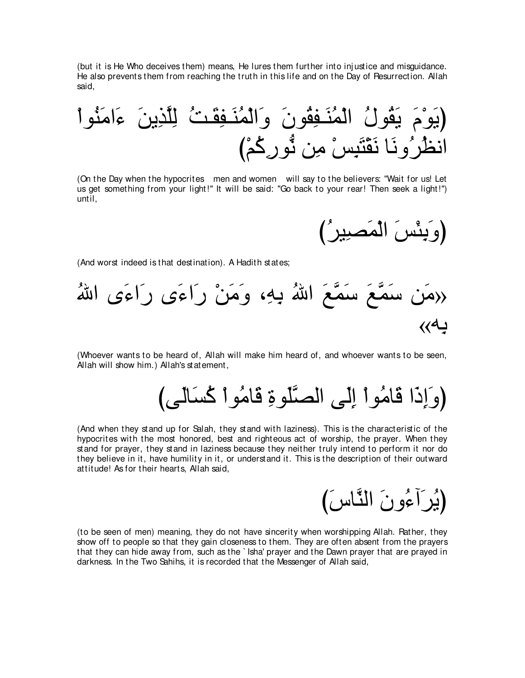(but it is He Who deceives them) means, He lures them further into inj ustice and misguidance. He also prevents them from reaching the truth in this life and on the Day of Resurrection. Allah said,

∇やヲ⊥レ∠ョや∠¬ ∠リΑ⌒グzヤ⌒ャ ⊥ろ⇒∠ボ⌒ヘ⇒∠レ⊥ヨ∇ャや∠ヱ ∠ラヲ⊥ボ⌒ヘ⇒∠レ⊥ヨ∇ャや ⊥メヲ⊥ボ∠Α ∠ュ∇ヲ∠Αぴ び∇ユ⊥ミ⌒ケヲぁル リ⌒ョ ∇ザ⌒ら∠わ∇ボ∠ル ゅ∠ルヱ⊥ゲ⊥ヌルや

(On the Day when the hypocrites men and women will say to the believers: "Wait for us! Let us get something from your light!'' It will be said: "Go back to your rear! Then seek a light!'') until,

び⊥ゲΒ⌒ダ∠ヨ∇ャや ∠ザ∇ゃ⌒よ∠ヱぴ

(And worst indeed is that destination). A Hadith states;

(ہمَن سَمَّعَ سَمَّعَ الَثُهُ يهِ، وَمَنٌ رَاءَى رَاءَى الَّلَّهُ
$$
\mu
$$
هَ

(Whoever wants to be heard of, Allah will make him heard of, and whoever wants to be seen, Allah will show him.) Allah's statement,

びヴ∠ャゅ∠ジ⊥ミ ∇やヲ⊥ョゅ∠ホ ⌒りヲ∠ヤzダャや ヴ∠ャ⌒ま ∇やヲ⊥ョゅ∠ホ や∠ク⌒ま∠ヱぴ

(And when they stand up for Salah, they stand with laziness). This is the characteristic of the hypocrites with the most honored, best and righteous act of worship, the prayer. When they stand for prayer, they stand in laziness because they neither truly intend to perform it nor do they believe in it, have humility in it, or understand it. This is the description of their outward attitude! As for their hearts, Allah said,

び∠サゅzレャや ∠ラヱ⊥¬へ∠ゲ⊥Αぴ

(to be seen of men) meaning, they do not have sincerity when worshipping Allah. Rather, they show off to people so that they gain closeness to them. They are often absent from the prayers that they can hide away from, such as the ` Isha' prayer and the Dawn prayer that are prayed in darkness. In the Two Sahihs, it is recorded that the Messenger of Allah said,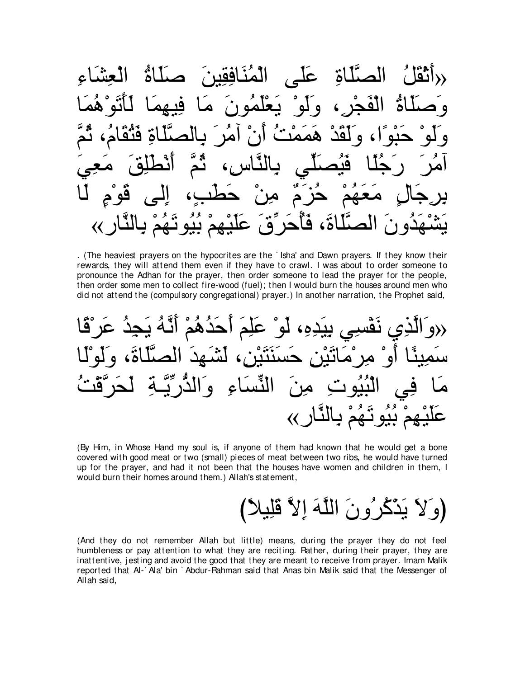سَّلَاة عَلَّـ ∕ الْمُنَافقينَ صَلَّـاةُ وَصَلَاةُ الْفَجْرِ، وَلَوْ يَعْلَمُونَ مَا فِيهِمَا لَّأَتَوْهُمَا وَلَوْ حَبْوًا، وَلَقَدْ هَمَمْتُ أَنْ امُرَ بِالصَّلَاةِ فَثْقَامُ، ثُمَّ امُرَ رَجُلًا فَيُصَلِّي بِالنَّاسِ، ثُمَّ أَنْطَلِقَ مَعِيَ يرجَال ِ مَعَهُمْ حُزَمٌ مِنْ حَطَبٍ، إلى قَوْمٍ لَ**ا** يَشْهَدُونَ الصَّلَّاةَ، فَأَحَرِّقَ عَلَيْهِمْ بُيُوتَهُمْ بِالنَّارِ﴾

. (The heaviest prayers on the hypocrites are the ` Isha' and Dawn prayers. If they know their rewards, they will attend them even if they have to crawl. I was about to order someone to pronounce the Adhan for the prayer, then order someone to lead the prayer for the people, then order some men to collect fire-wood (fuel); then I would burn the houses around men who did not attend the (compulsory congregational) prayer.) In another narration, the Prophet said,

بِبِدِهِ، لَو` علم أحدَهُمَّ أنَّهُ سَمِينًا أَوْ مِرْمَاتَيْنِ حَسَنَتَيْنِ، لَشَهِدَ الصَّلَاةَ، وَلَوْلَا مَا فِي الْبُيُوتِ مِنَ النَّسَاءِ وَالدُّرِيَّـةِ لَحَرَّقْتُ مُ<sup>م</sup>ُ جَمُّمْ بِالنَّا

(By Him, in Whose Hand my soul is, if anyone of them had known that he would get a bone covered with good meat or two (small) pieces of meat between two ribs, he would have turned up for the prayer, and had it not been that the houses have women and children in them, I would burn their homes around them.) Allah's statement,

# (وَ لاَ يَدْكُر <sub>ُ</sub>و نَ اللَّهَ إِلاَّ قَلِيلاً )

(And they do not remember Allah but little) means, during the prayer they do not feel humbleness or pay attention to what they are reciting. Rather, during their prayer, they are inattentive, jesting and avoid the good that they are meant to receive from prayer. Imam Malik reported that Al-` Ala' bin ` Abdur-Rahman said that Anas bin Malik said that the Messenger of Allah said,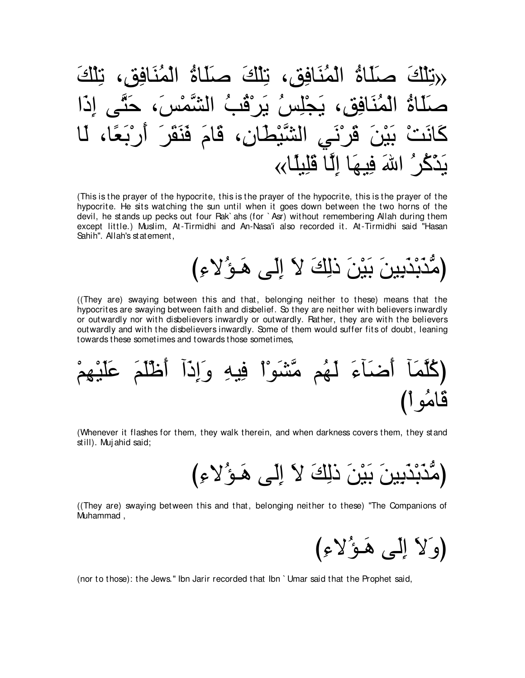(زِلَّكَ صَلَّاهُ المُنَافِق، تِلَكَ صَلَّاهُ الُمُنَافِق، تِلَكَ
$$
\overline{\phantom{a}}
$$
وَقَّلِ مَلَّلَّهُ الُمُنَافِق، تِلَّكَ وَرَنَي بَرِقُبُ الُنَّمُسَ، حَتَّى إِدَا وَلَنَّ بَيْنَ قَرَنَيَ وَرُنَي الَنَنَّيُرِلَكَ، لَا

(This is the prayer of the hypocrite, this is the prayer of the hypocrite, this is the prayer of the hypocrite. He sits watching the sun until when it goes down between the two horns of the devil, he stands up pecks out four Rak` ahs (for ` Asr) without remembering Allah during them except little.) Muslim, At-Tirmidhi and An-Nasa'i also recorded it. At-Tirmidhi said "Hasan Sahih''. Allah's statement,

(مُّدَبْدَبِينَ بَيْنَ ذَلِكَ لاَ إِلَى هَوْ لاءِ)

((They are) swaying between this and that, belonging neither to these) means that the hypocrites are swaying between faith and disbelief. So they are neither with believers inwardly or outwardly nor with disbelievers inwardly or outwardly. Rather, they are with the believers outwardly and with the disbelievers inwardly. Some of them would suffer fits of doubt, leaning towards these sometimes and towards those sometimes,

∇ユ⌒ヰ∇Β∠ヤ∠ハ ∠ユ∠ヤ∇ニ∠ぺ へ∠ク⌒ま∠ヱ ⌒プ⌒ヮΒ ∇や∇ヲ∠ゼzョ ユ⊥ヰ∠ャ ∠¬べ∠ッ∠ぺ べ∠ヨzヤ⊥ミぴ び∇やヲ⊥ョゅ∠ホ

(Whenever it flashes for them, they walk therein, and when darkness covers them, they stand still). Muj ahid said;

び⌒¬Ι⊥ぽ⇒∠ワ ヴ∠ャ⌒ま ∠Ι ∠マ⌒ャク ∠リ∇Β∠よ ∠リΒ⌒よ∠グ∇よ∠グぁョぴ

((They are) swaying between this and that, belonging neither to these) "The Companions of Muhammad ,

(وَلاَ إِلَى هَـؤُلاءِ)

(nor to those): the Jews.'' Ibn Jarir recorded that Ibn ` Umar said that the Prophet said,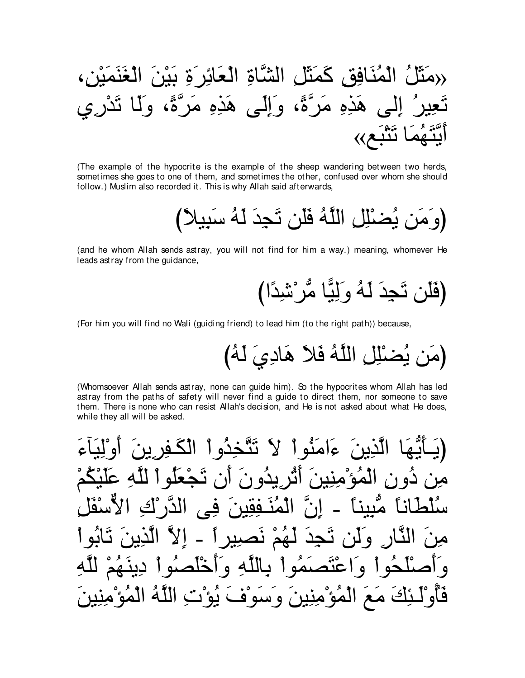(The example of the hypocrite is the example of the sheep wandering between two herds. sometimes she goes to one of them, and sometimes the other, confused over whom she should follow.) Muslim also recorded it. This is why Allah said afterwards,

(وَمَن يُضْلِلِ اللَّهُ فَلَن تَجِدَ لَهُ سَبِيلاً)

(and he whom Allah sends astray, you will not find for him a way.) meaning, whomever He leads astray from the guidance,

(فَلَن تَجِدَ لَهُ وَلِيًّا مُّر ْشْدًا)

(For him you will find no Wali (guiding friend) to lead him (to the right path)) because,

(مَن يُضْلِلِ اللَّهُ فَلا هَادِيَ لَهُ)

(Whomsoever Allah sends astray, none can guide him). So the hypocrites whom Allah has led astray from the paths of safety will never find a guide to direct them, nor someone to save them. There is none who can resist Allah's decision, and He is not asked about what He does. while they all will be asked.

الَّذِينَ ءَامَنُواْ لاَ تَتَّخِذُواْ الْكَـٰفِرِ بِنَ اه ک دْعَلَهِ أَ لَلَّهُ عِلَىٰٓكُمْ اتر بده ن المؤمنين ان اس الْمُنَـفِقِّدِنَ فِي  $\ddot{r}$   $\dot{ }$   $\dot{ }$ ای منبنا تجد لهَمْ نَصبِير أ ـ  $\bullet$ وَأَصْلَحُواْ وَاعْتَصِبَهُواْ بِاللَّهِ وَأَخْلَصُواْ دِينَهُمْ فَأَوْلَـٰئِكَ مَعَ الْمُؤْمِنِينَ وَسَوْفَ يُؤْتِ اللَّهُ الْمُؤْمِنِي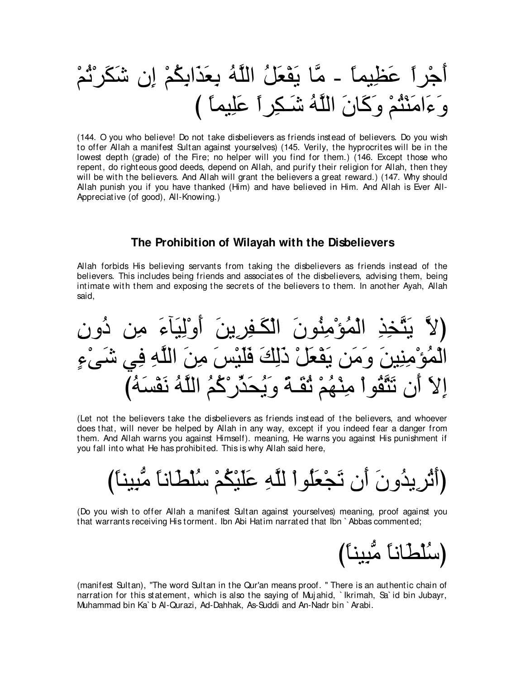(144. O you who believe! Do not take disbelievers as friends instead of believers. Do you wish to offer Allah a manifest Sultan against vourselves) (145. Verily, the hyprocrites will be in the lowest depth (grade) of the Fire; no helper will you find for them.) (146. Except those who repent, do righteous good deeds, depend on Allah, and purify their religion for Allah, then they will be with the believers. And Allah will grant the believers a great reward.) (147. Why should Allah punish you if you have thanked (Him) and have believed in Him. And Allah is Ever All-Appreciative (of good), All-Knowing.)

#### The Prohibition of Wilayah with the Disbelievers

Allah forbids His believing servants from taking the disbelievers as friends instead of the believers. This includes being friends and associates of the disbelievers, advising them, being intimate with them and exposing the secrets of the believers to them. In another Ayah, Allah said.

(Let not the believers take the disbelievers as friends instead of the believers, and whoever does that, will never be helped by Allah in any way, except if you indeed fear a danger from them. And Allah warns you against Himself). meaning, He warns you against His punishment if you fall into what He has prohibited. This is why Allah said here,

(Do you wish to offer Allah a manifest Sultan against yourselves) meaning, proof against you that warrants receiving Historment. Ibn Abi Hatim narrated that Ibn `Abbas commented;

(سُلْطَاناً مُّبِيناً)

(manifest Sultan), "The word Sultan in the Qur'an means proof. "There is an authentic chain of narration for this statement, which is also the saying of Mujahid, `Ikrimah, Sa`id bin Jubayr, Muhammad bin Ka`b Al-Qurazi, Ad-Dahhak, As-Suddi and An-Nadr bin `Arabi.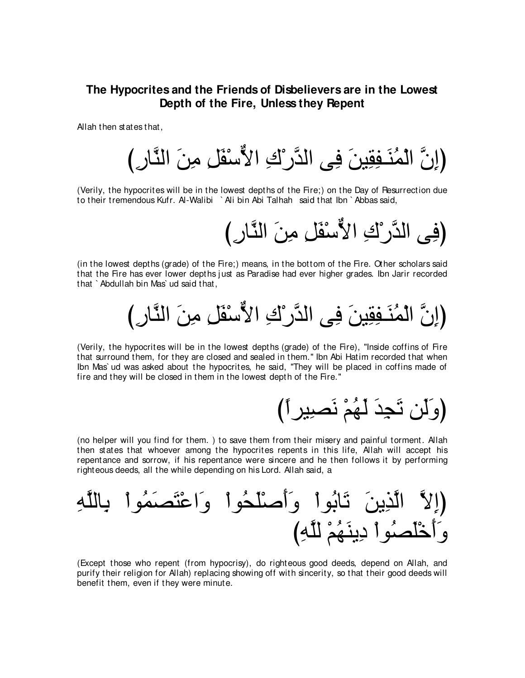# **The Hypocrites and the Friends of Disbelievers are in the Lowest Depth of the Fire, Unless they Repent**

Allah then states that,

び⌒ケゅzレャや ∠リ⌒ョ ⌒モ∠ヘ∇シxΙや ⌒ポ∇ケzギャや ヴ⌒プ ∠リΒ⌒ボ⌒ヘ⇒∠レ⊥ヨ∇ャや zラ⌒まぴ

(Verily, the hypocrites will be in the lowest depths of the Fire;) on the Day of Resurrection due to their tremendous Kufr. Al-Walibi ` Ali bin Abi Talhah said that Ibn ` Abbas said,

(فِي الذَّرِّكِ الأُّسْفَلِ مِنَ النَّارِ )

(in the lowest depths (grade) of the Fire;) means, in the bottom of the Fire. Other scholars said that the Fire has ever lower depths j ust as Paradise had ever higher grades. Ibn Jarir recorded that ` Abdullah bin Mas` ud said that,

び⌒ケゅzレャや ∠リ⌒ョ ⌒モ∠ヘ∇シxΙや ⌒ポ∇ケzギャや ヴ⌒プ ∠リΒ⌒ボ⌒ヘ⇒∠レ⊥ヨ∇ャや zラ⌒まぴ

(Verily, the hypocrites will be in the lowest depths (grade) of the Fire), "Inside coffins of Fire that surround them, for they are closed and sealed in them.'' Ibn Abi Hatim recorded that when Ibn Mas` ud was asked about the hypocrites, he said, "They will be placed in coffins made of fire and they will be closed in them in the lowest depth of the Fire.''

(وَلَن تَجِدَ لَهُمْ نَصبِيرٍ أَ)

(no helper will you find for them. ) to save them from their misery and painful torment. Allah then states that whoever among the hypocrites repents in this life, Allah will accept his repentance and sorrow, if his repentance were sincere and he then follows it by performing righteous deeds, all the while depending on his Lord. Allah said, a

(الِلاَ الَّذِينَ تَابُوا وَأصُلَحُوا وَاعُتَصَمُواٌ بالَلَّهِ
$$
\int_{0}^{\infty}
$$

(Except those who repent (from hypocrisy), do righteous good deeds, depend on Allah, and purify their religion for Allah) replacing showing off with sincerity, so that their good deeds will benefit them, even if they were minute.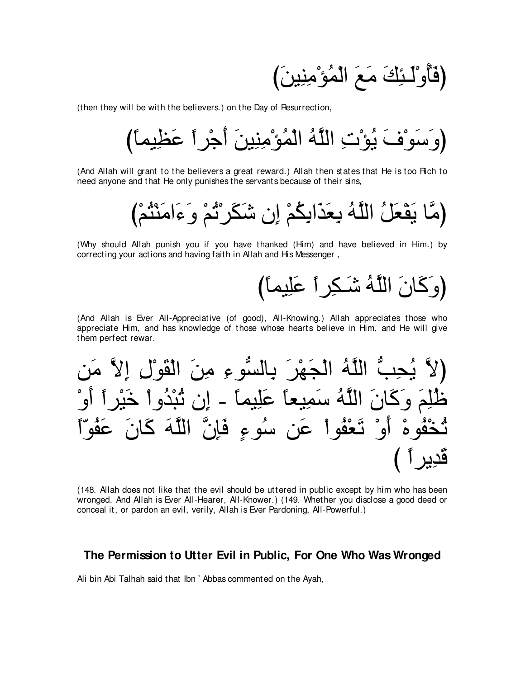(فَأَوْلَـٰئِكَ مَعَ الْمُؤْمِنِينَ)

(then they will be with the believers.) on the Day of Resurrection,

(And Allah will grant to the believers a great reward.) Allah then states that He is too Rich to need anyone and that He only punishes the servants because of their sins,

(Why should Allah punish you if you have thanked (Him) and have believed in Him.) by correcting your actions and having faith in Allah and His Messenger,

# (وَكَانَ اللَّهُ شَكِرٍ أَ عَلِيماً)

(And Allah is Ever All-Appreciative (of good), All-Knowing.) Allah appreciates those who appreciate Him, and has knowledge of those whose hearts believe in Him, and He will give them perfect rewar.

(لاَ يُحِبُّ اللَّهُ الْجَهْرَ بِالسَّوءِ مِنَ الْقَوْلِ إِلاَّ مَن ظَٰلِمَ وَكَانَ اللَّهُ سَمِيعاً عَلِيماً - إِن ثُبْدُواْ خَيْرٍ أَ أَو ثُخْفُوهُ أَوْ نَعْفُواْ عَنِ سُوءٍ فَإِنَّ اللَّهَ كَانَ عَفُوّاً قدِير ا )

(148. Allah does not like that the evil should be uttered in public except by him who has been wronged. And Allah is Ever All-Hearer, All-Knower.) (149. Whether you disclose a good deed or conceal it, or pardon an evil, verily, Allah is Ever Pardoning, All-Powerful.)

#### The Permission to Utter Evil in Public, For One Who Was Wronged

Ali bin Abi Talhah said that Ibn `Abbas commented on the Ayah,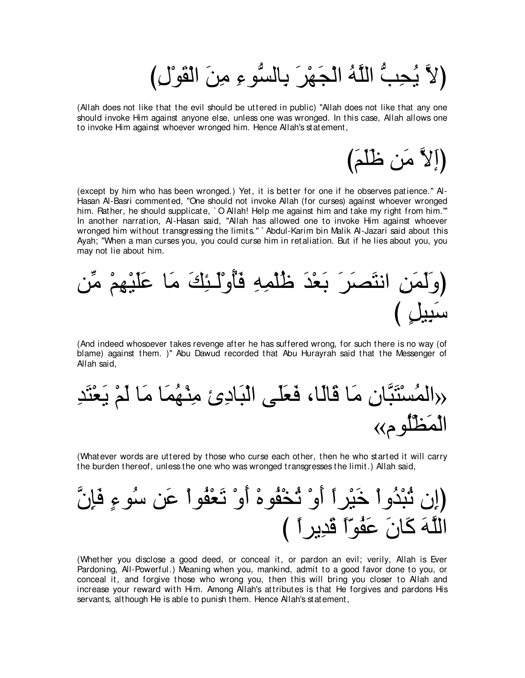(لاَّ يُحِبُّ اللَّهُ الْجَهْرَ بِالسُّوءِ مِنَ الْقَوْلِ)

(Allah does not like that the evil should be uttered in public) "Allah does not like that any one should invoke Him against anyone else, unless one was wronged. In this case, Allah allows one to invoke Him against whoever wronged him. Hence Allah's statement,



(except by him who has been wronged.) Yet, it is better for one if he observes patience." Al-Hasan Al-Basri commented. "One should not invoke Allah (for curses) against whoever wronged him. Pather, he should supplicate, `O Allah! Help me against him and take my right from him." In another narration, Al-Hasan said, "Allah has allowed one to invoke Him against whoever wronged him without transgressing the limits." `Abdul-Karim bin Malik Al-Jazari said about this Ayah; "When a man curses you, you could curse him in retaliation. But if he lies about you, you may not lie about him.



(And indeed whosoever takes revenge after he has suffered wrong, for such there is no way (of blame) against them. )" Abu Dawud recorded that Abu Hurayrah said that the Messenger of Allah said,

(Whatever words are uttered by those who curse each other, then he who started it will carry the burden thereof, unless the one who was wronged transgresses the limit.) Allah said,

(Whether you disclose a good deed, or conceal it, or pardon an evil; verily, Allah is Ever Pardoning, All-Powerful.) Meaning when you, mankind, admit to a good favor done to you, or conceal it, and forgive those who wrong you, then this will bring you closer to Allah and increase your reward with Him. Among Allah's attributes is that He forgives and pardons His servants, although He is able to punish them. Hence Allah's statement.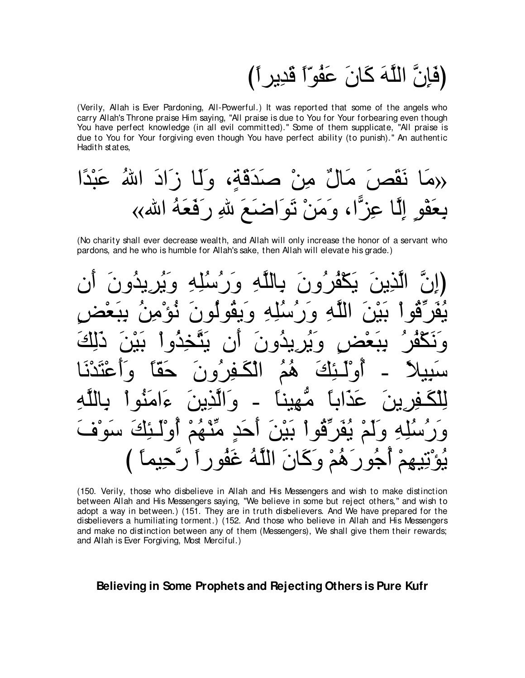(فَإِنَّ اللَّهَ كَانَ عَفُوّاً قَدِيرٍ أَ)

(Verily, Allah is Ever Pardoning, All-Powerful.) It was reported that some of the angels who carry Allah's Throne praise Him saying, "All praise is due to You for Your forbearing even though You have perfect knowledge (in all evil committed)." Some of them supplicate, "All praise is due to You for Your forgiving even though You have perfect ability (to punish)." An authentic Hadith states.

(No charity shall ever decrease wealth, and Allah will only increase the honor of a servant who pardons, and he who is humble for Allah's sake, then Allah will elevate his grade.)

(150. Verily, those who disbelieve in Allah and His Messengers and wish to make distinction between Allah and His Messengers saying, "We believe in some but reject others," and wish to adopt a way in between.) (151. They are in truth disbelievers. And We have prepared for the disbelievers a humiliating torment.) (152. And those who believe in Allah and His Messengers and make no distinction between any of them (Messengers). We shall give them their rewards; and Allah is Ever Forgiving, Most Merciful.)

# Believing in Some Prophets and Rejecting Others is Pure Kufr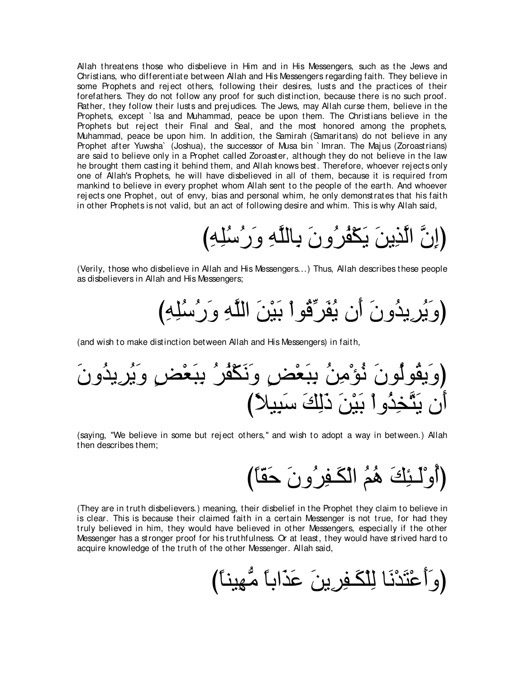Allah threatens those who disbelieve in Him and in His Messengers, such as the Jews and Christians, who differentiate between Allah and His Messengers regarding faith. They believe in some Prophets and reject others, following their desires, lusts and the practices of their forefathers. They do not follow any proof for such distinction, because there is no such proof. Rather, they follow their lusts and prejudices. The Jews, may Allah curse them, believe in the Prophets, except ` Isa and Muhammad, peace be upon them. The Christians believe in the Prophets but reject their Final and Seal, and the most honored among the prophets, Muhammad, peace be upon him. In addition, the Samirah (Samaritans) do not believe in any Prophet after Yuwsha` (Joshua), the successor of Musa bin ` Imran. The Majus (Zoroastrians) are said to believe only in a Prophet called Zoroaster, although they do not believe in the law he brought them casting it behind them, and Allah knows best. Therefore, whoever rej ects only one of Allah's Prophets, he will have disbelieved in all of them, because it is required from mankind to believe in every prophet whom Allah sent to the people of the earth. And whoever rej ects one Prophet, out of envy, bias and personal whim, he only demonstrates that his faith in other Prophets is not valid, but an act of following desire and whim. This is why Allah said,

(إِنَّ الَّذِينَ يَكْفُرُونَ بِاللَّهِ وَرِرُسُلِهِ)

(Verily, those who disbelieve in Allah and His Messengers...) Thus, Allah describes these people as disbelievers in Allah and His Messengers;

(وَيُرِيدُونَ أَن يُفَرِّقُواْ بَيْنَ اللَّهِ وَرُسُلِهِ)

(and wish to make distinction between Allah and His Messengers) in faith,

∠ラヱ⊥ギΑ⌒ゲ⊥Α∠ヱ ∃ヂ∇バ∠ら⌒よ ⊥ゲ⊥ヘ∇ム∠ル∠ヱ ∃ヂ∇バ∠ら⌒よ ⊥リ⌒ョ∇ぽ⊥ル ∠ラヲ⊥ャヲ⊥ボΑ∠ヱぴ び⇔ΚΒ⌒ら∠シ ∠マ⌒ャ∠ク ∠リ∇Β∠よ ∇やヱ⊥グ⌒ガzわ∠Α ラ∠ぺ

(saying, "We believe in some but rej ect others,'' and wish to adopt a way in between.) Allah then describes them;

び⇔ゅ∂ボ∠ェ ∠ラヱ⊥ゲ⌒ヘ⇒∠ム∇ャや ⊥ユ⊥ワ ∠マ⌒ゃ⇒∠ャ∇ヱ⊥ぺぴ

(They are in truth disbelievers.) meaning, their disbelief in the Prophet they claim to believe in is clear. This is because their claimed faith in a certain Messenger is not true, for had they truly believed in him, they would have believed in other Messengers, especially if the other Messenger has a stronger proof for his truthfulness. Or at least, they would have strived hard to acquire knowledge of the truth of the other Messenger. Allah said,

び⇔ゅレΒ⌒ヰぁョ ⇔ゅよや∠グ∠ハ ∠リΑ⌒ゲ⌒ヘ⇒∠ム∇ヤ⌒ャ ゅ∠ル∇ギ∠わ∇ハ∠ぺ∠ヱぴ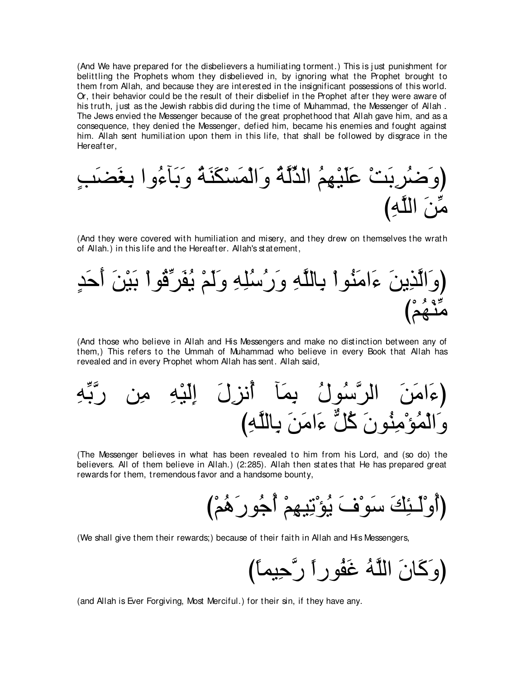(And We have prepared for the disbelievers a humiliating torment.) This is just punishment for belittling the Prophets whom they disbelieved in, by ignoring what the Prophet brought to them from Allah, and because they are interested in the insignificant possessions of this world. Or, their behavior could be the result of their disbelief in the Prophet after they were aware of his truth, just as the Jewish rabbis did during the time of Muhammad, the Messenger of Allah, The Jews envied the Messenger because of the great prophethood that Allah gave him, and as a consequence, they denied the Messenger, defied him, became his enemies and fought against him. Allah sent humiliation upon them in this life, that shall be followed by disgrace in the Hereafter,

∃ょ∠ツ∠ピ⌒よ やヱ⊥¬べ∠よ∠ヱ ⊥る∠レ∠ム∇ジ∠ヨ∇ャや∠ヱ ⊥るzャあグャや ⊥ユ⌒ヰ∇Β∠ヤ∠ハ ∇ろ∠よ⌒ゲ⊥ッ∠ヱぴ び⌒ヮzヤャや ∠リあョ

(And they were covered with humiliation and misery, and they drew on themselves the wrath of Allah.) in this life and the Hereafter. Allah's statement,



(And those who believe in Allah and His Messengers and make no distinction between any of them,) This refers to the Ummah of Muhammad who believe in every Book that Allah has revealed and in every Prophet whom Allah has sent. Allah said,

⌒ヮあよzケ リ⌒ョ ⌒ヮ∇Β∠ャ⌒ま ∠メ⌒ゴル⊥ぺ べ∠ヨ⌒よ ⊥メヲ⊥シzゲャや ∠リ∠ョや∠¬ぴ び⌒ヮzヤャゅ⌒よ ∠リ∠ョや∠¬ xモ⊥ミ ∠ラヲ⊥レ⌒ョ∇ぽ⊥ヨ∇ャや∠ヱ

(The Messenger believes in what has been revealed to him from his Lord, and (so do) the believers. All of them believe in Allah.) (2:285). Allah then states that He has prepared great rewards for them, tremendous favor and a handsome bounty,

び∇ユ⊥ワ∠ケヲ⊥ィ⊥ぺ ∇ユ⌒ヰΒ⌒ゎ∇ぽ⊥Α ∠フ∇ヲ∠シ ∠マ⌒ゃ⇒∠ャ∇ヱ⊥ぺぴ

(We shall give them their rewards;) because of their faith in Allah and His Messengers,

び⇔ゅヨΒ⌒ェzケ ⇔やケヲ⊥ヘ∠ビ ⊥ヮzヤャや ∠ラゅ∠ミ∠ヱぴ

(and Allah is Ever Forgiving, Most Merciful.) for their sin, if they have any.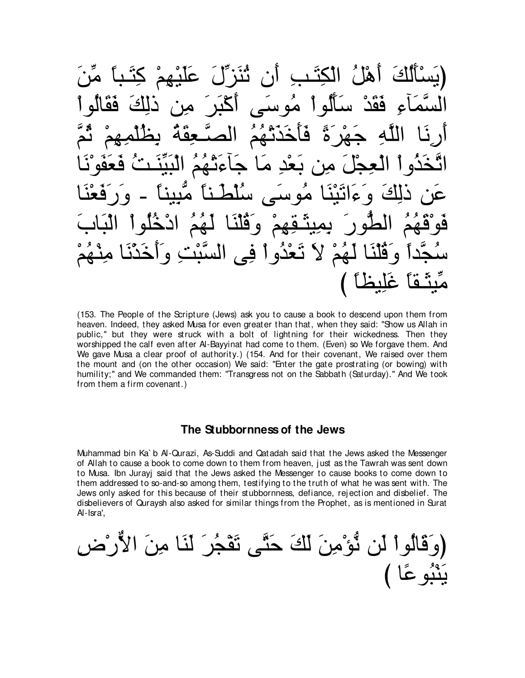(يَسْأَلُكَ أَهْلُ الْكِتَـبِ أَن ثُنَزِّلَ عَلَيْهِمْ كِتَـباً مِّنَ اَّعِ ۖ فَقَدْ سَأَلُو أَ ۖ مُو سَے ِ اكذر من فا لتعف عضه  $\blacktriangle$  $\cdot \cdot$ مو سے ر بِمِينَـقِهِمْ وَقَلْنَا لمعدّ لَّهُمْ لاَ تَعْدُواْ فِي السَّبْتِ وَأَخَذْنَا مِ و قا مِّنثٌ فَا غَلِيظ

(153. The People of the Scripture (Jews) ask you to cause a book to descend upon them from heaven. Indeed, they asked Musa for even greater than that, when they said: "Show us Allah in public," but they were struck with a bolt of lightning for their wickedness. Then they worshipped the calf even after Al-Bayyinat had come to them. (Even) so We forgave them. And We gave Musa a clear proof of authority.) (154. And for their covenant, We raised over them the mount and (on the other occasion) We said: "Enter the gate prostrating (or bowing) with humility;" and We commanded them: "Transgress not on the Sabbath (Saturday)." And We took from them a firm covenant.)

#### The Stubbornness of the Jews

Muhammad bin Ka`b Al-Qurazi, As-Suddi and Qatadah said that the Jews asked the Messenger of Allah to cause a book to come down to them from heaven, just as the Tawrah was sent down to Musa. Ibn Jurayj said that the Jews asked the Messenger to cause books to come down to them addressed to so-and-so among them, testifying to the truth of what he was sent with. The Jews only asked for this because of their stubbornness, defiance, rejection and disbelief. The disbelievers of Quraysh also asked for similar things from the Prophet, as is mentioned in Surat Al-Isra'.

قَالُو أَ لَن نُّوْمِنَ لَكَ حَتَّى تَقْجُرَ لَنَا مِنَ الأُرْضِ يَنْبُو عَا )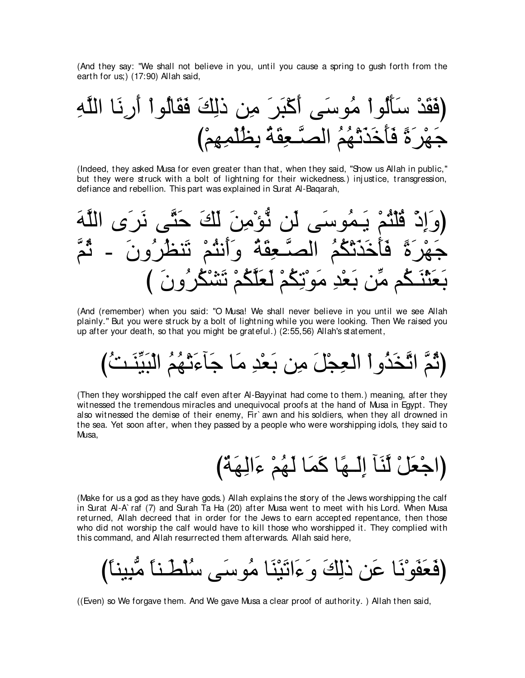(And they say: "We shall not believe in you, until you cause a spring to gush forth from the earth for us;) (17:90) Allah said,

⌒ヮzヤャや ゅ∠ル⌒ケ∠ぺ ∇やヲ⊥ャゅ∠ボ∠プ ∠マ⌒ャク リ⌒ョ ∠ゲ∠ら∇ミ∠ぺ ヴ∠シヲ⊥ョ ∇やヲ⊥ャ∠ほ∠シ ∇ギ∠ボ∠プぴ び∇ユ⌒ヰ⌒ヨ∇ヤ⊥ヌ⌒よ ⊥る∠ボ⌒バ⇒zダャや ⊥ユ⊥ヰ∇ゎ∠グ∠カ∠ほ∠プ ⇔り∠ゲ∇ヰ∠ィ

(Indeed, they asked Musa for even greater than that, when they said, "Show us Allah in public,'' but they were struck with a bolt of lightning for their wickedness.) injustice, transgression, defiance and rebellion. This part was explained in Surat Al-Baqarah,

∠ヮzヤャや ン∠ゲ∠ル ヴzわ∠ェ ∠マ∠ャ ∠リ⌒ョ∇ぽぁル リ∠ャ ヴ∠シヲ⊥ヨ⇒∠Α ∇ユ⊥わ∇ヤ⊥ホ ∇ク⌒ま∠ヱぴ zユ⊥を - ∠ラヱ⊥ゲ⊥ヌレ∠ゎ ∇ユ⊥わル∠ぺ∠ヱ ⊥る∠ボ⌒バ⇒zダャや ⊥ユ⊥ム∇ゎ∠グ∠カ∠ほ∠プ ⇔り∠ゲ∇ヰ∠ィ び ∠ラヱ⊥ゲ⊥ム∇ゼ∠ゎ ∇ユ⊥ムzヤ∠バ∠ャ ∇ユ⊥ム⌒ゎ∇ヲ∠ョ ⌒ギ∇バ∠よ リあョ ユ⊥ム⇒∠レ∇ん∠バ∠よ

(And (remember) when you said: "O Musa! We shall never believe in you until we see Allah plainly.'' But you were struck by a bolt of lightning while you were looking. Then We raised you up after your death, so that you might be grateful.) (2:55,56) Allah's statement,

び⊥ろ⇒∠レあΒ∠ら∇ャや ⊥ユ⊥ヰ∇ゎ∠¬べ∠ィ ゅ∠ョ ⌒ギ∇バ∠よ リ⌒ョ ∠モ∇イ⌒バ∇ャや ∇やヱ⊥グ∠ガzゎや zユ⊥をぴ

(Then they worshipped the calf even after Al-Bayyinat had come to them.) meaning, after they witnessed the tremendous miracles and unequivocal proofs at the hand of Musa in Egypt. They also witnessed the demise of their enemy, Fir` awn and his soldiers, when they all drowned in the sea. Yet soon after, when they passed by a people who were worshipping idols, they said to Musa,

び∀る∠ヰ⌒ャや∠¬ ∇ユ⊥ヰ∠ャ ゅ∠ヨ∠ミ ゅ⇔ヰ⇒∠ャ⌒ま べ∠レzャ ∇モ∠バ∇ィやぴ

(Make for us a god as they have gods.) Allah explains the story of the Jews worshipping the calf in Surat Al-A` raf (7) and Surah Ta Ha (20) after Musa went to meet with his Lord. When Musa returned, Allah decreed that in order for the Jews to earn accepted repentance, then those who did not worship the calf would have to kill those who worshipped it. They complied with this command, and Allah resurrected them afterwards. Allah said here,

び⇔ゅレΒ⌒らぁョ ⇔ゅレ⇒∠ト∇ヤ⊥シ ヴ∠シヲ⊥ョ ゅ∠レ∇Β∠ゎや∠¬∠ヱ ∠マ⌒ャク リ∠ハ ゅ∠ル∇ヲ∠ヘ∠バ∠プぴ

((Even) so We forgave them. And We gave Musa a clear proof of authority. ) Allah then said,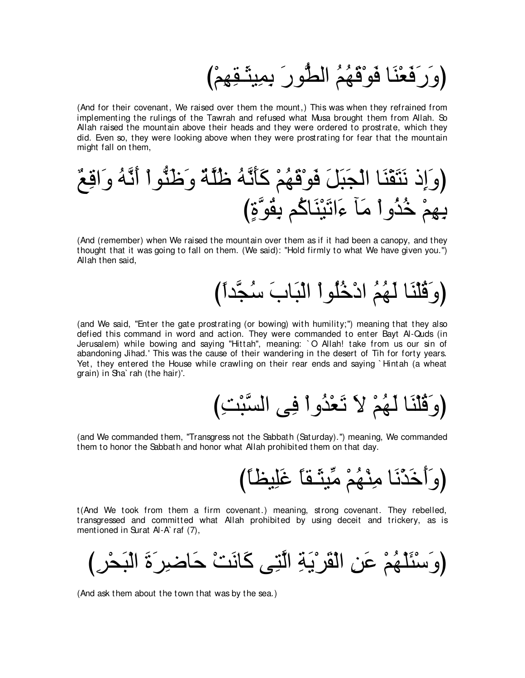び∇ユ⌒ヰ⌒ボ⇒∠んΒ⌒ヨ⌒よ ∠ケヲぁトャや ⊥ユ⊥ヰ∠ホ∇ヲ∠プ ゅ∠レ∇バ∠プ∠ケ∠ヱぴ

(And for their covenant, We raised over them the mount,) This was when they refrained from implementing the rulings of the Tawrah and refused what Musa brought them from Allah. So Allah raised the mountain above their heads and they were ordered to prostrate, which they did. Even so, they were looking above when they were prostrating for fear that the mountain might fall on them,

(وَ إِذَ نَتَقَنَا الَجَبَلَ فَوْقَهُمٌ كَأَنَّهُ ظَلَّلَّهُ وَحَلَنُّو اُاَنَّهُ وَاقَعُ
$$
\frac{1}{2}
$$

(And (remember) when We raised the mountain over them as if it had been a canopy, and they thought that it was going to fall on them. (We said): "Hold firmly to what We have given you.'') Allah then said,

(وَقَلْنَا لَـهُمُ ادْخُلُو اللّبَابَ سُجَّداً)

(and We said, "Enter the gate prostrating (or bowing) with humility;'') meaning that they also defied this command in word and action. They were commanded to enter Bayt Al-Quds (in Jerusalem) while bowing and saying "Hittah'', meaning: ` O Allah! take from us our sin of abandoning Jihad.' This was the cause of their wandering in the desert of Tih for forty years. Yet, they entered the House while crawling on their rear ends and saying ` Hintah (a wheat grain) in Sha` rah (the hair)'.

(وَقُلْنَا لَـهُمْ لاَ تَعْدُواْ فِي السَّبْتِ)

(and We commanded them, "Transgress not the Sabbath (Saturday).'') meaning, We commanded them to honor the Sabbath and honor what Allah prohibited them on that day.

び⇔ゅヌΒ⌒ヤ∠ビ ⇔ゅボ⇒∠んΒあョ ∇ユ⊥ヰ∇レ⌒ョ ゅ∠ル∇グ∠カ∠ぺ∠ヱぴ

t(And We took from them a firm covenant.) meaning, strong covenant. They rebelled, transgressed and committed what Allah prohibited by using deceit and trickery, as is mentioned in Surat Al-A` raf (7),

び⌒ゲ∇エ∠ら∇ャや ∠り∠ゲ⌒ッゅ∠ェ ∇ろ∠ルゅ∠ミ ヴ⌒わzャや ⌒る∠Α∇ゲ∠ボ∇ャや ⌒リ∠ハ ∇ユ⊥ヰ∇ヤ∠ゃ∇シ∠ヱぴ

(And ask them about the town that was by the sea.)